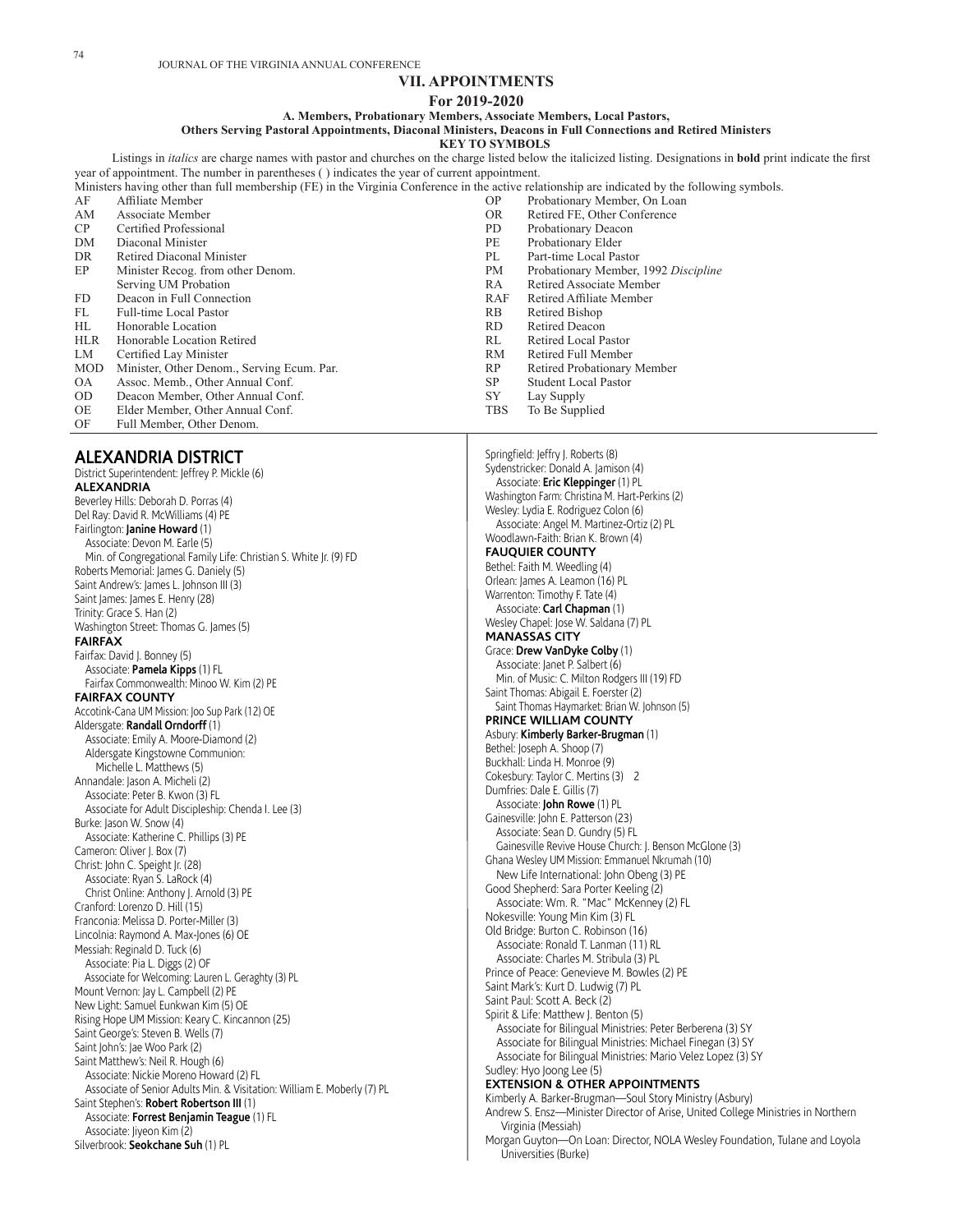# **VII. APPOINTMENTS**

#### **For 2019-2020**

# **A. Members, Probationary Members, Associate Members, Local Pastors,**

**Others Serving Pastoral Appointments, Diaconal Ministers, Deacons in Full Connections and Retired Ministers**

**KEY TO SYMBOLS**

Listings in *italics* are charge names with pastor and churches on the charge listed below the italicized listing. Designations in **bold** print indicate the first year of appointment. The number in parentheses ( ) indicates the year of current appointment.

|            | Ministers having other than full membership (FE) in the Virginia Conference in the active relationship are indicated by the following symbols. |            |                                      |
|------------|------------------------------------------------------------------------------------------------------------------------------------------------|------------|--------------------------------------|
| AF         | Affiliate Member                                                                                                                               | OP.        | Probationary Member, On Loan         |
| AM         | Associate Member                                                                                                                               | OR.        | Retired FE, Other Conference         |
| CP         | Certified Professional                                                                                                                         | PD.        | Probationary Deacon                  |
| DM         | Diaconal Minister                                                                                                                              | PE         | Probationary Elder                   |
| DR         | Retired Diaconal Minister                                                                                                                      | PL         | Part-time Local Pastor               |
| EP         | Minister Recog. from other Denom.                                                                                                              | <b>PM</b>  | Probationary Member, 1992 Discipline |
|            | Serving UM Probation                                                                                                                           | RA         | Retired Associate Member             |
| FD.        | Deacon in Full Connection                                                                                                                      | RAF        | Retired Affiliate Member             |
| FL         | Full-time Local Pastor                                                                                                                         | RB         | Retired Bishop                       |
| HL         | Honorable Location                                                                                                                             | RD.        | Retired Deacon                       |
| <b>HLR</b> | Honorable Location Retired                                                                                                                     | RL         | Retired Local Pastor                 |
| LM         | Certified Lay Minister                                                                                                                         | RM         | Retired Full Member                  |
| <b>MOD</b> | Minister, Other Denom., Serving Ecum. Par.                                                                                                     | RP.        | Retired Probationary Member          |
| <b>OA</b>  | Assoc. Memb., Other Annual Conf.                                                                                                               | <b>SP</b>  | <b>Student Local Pastor</b>          |
| OD.        | Deacon Member, Other Annual Conf.                                                                                                              | SY         | Lay Supply                           |
| <b>OE</b>  | Elder Member, Other Annual Conf.                                                                                                               | <b>TBS</b> | To Be Supplied                       |

- OE Elder Member, Other Annual Conf.<br>OF Full Member. Other Denom.
- Full Member, Other Denom.

# **ALEXANDRIA DISTRICT**

District Superintendent: Jeffrey P. Mickle (6) **ALEXANDRIA** Beverley Hills: Deborah D. Porras (4) Del Ray: David R. McWilliams (4) PE Fairlington: **Janine Howard** (1) Associate: Devon M. Earle (5) Min. of Congregational Family Life: Christian S. White Jr. (9) FD Roberts Memorial: James G. Daniely (5) Saint Andrew's: James L. Johnson III (3) Saint James: James E. Henry (28) Trinity: Grace S. Han (2) Washington Street: Thomas G. James (5) **FAIRFAX** Fairfax: David J. Bonney (5) Associate: **Pamela Kipps** (1) FL Fairfax Commonwealth: Minoo W. Kim (2) PE **FAIRFAX COUNTY** Accotink-Cana UM Mission: Joo Sup Park (12) OE Aldersgate: **Randall Orndorff** (1) Associate: Emily A. Moore-Diamond (2) Aldersgate Kingstowne Communion: Michelle L. Matthews (5) Annandale: Jason A. Micheli (2) Associate: Peter B. Kwon (3) FL Associate for Adult Discipleship: Chenda I. Lee (3) Burke: Jason W. Snow (4) Associate: Katherine C. Phillips (3) PE Cameron: Oliver I. Box (7) Christ: John C. Speight Jr. (28) Associate: Ryan S. LaRock (4) Christ Online: Anthony J. Arnold (3) PE Cranford: Lorenzo D. Hill (15) Franconia: Melissa D. Porter-Miller (3) Lincolnia: Raymond A. Max-Jones (6) OE Messiah: Reginald D. Tuck (6) Associate: Pia L. Diggs (2) OF Associate for Welcoming: Lauren L. Geraghty (3) PL Mount Vernon: Jay L. Campbell (2) PE New Light: Samuel Eunkwan Kim (5) OE Rising Hope UM Mission: Keary C. Kincannon (25) Saint George's: Steven B. Wells (7) Saint John's: Jae Woo Park (2) Saint Matthew's: Neil R. Hough (6) Associate: Nickie Moreno Howard (2) FL Associate of Senior Adults Min. & Visitation: William E. Moberly (7) PL Saint Stephen's: **Robert Robertson III** (1) Associate: **Forrest Benjamin Teague** (1) FL Associate: Jiyeon Kim (2) Silverbrook: **Seokchane Suh** (1) PL

Springfield: Jeffry J. Roberts (8) Sydenstricker: Donald A. Jamison (4) Associate: **Eric Kleppinger** (1) PL Washington Farm: Christina M. Hart-Perkins (2) Wesley: Lydia E. Rodriguez Colon (6) Associate: Angel M. Martinez-Ortiz (2) PL Woodlawn-Faith: Brian K. Brown (4) **FAUQUIER COUNTY** Bethel: Faith M. Weedling (4) Orlean: James A. Leamon (16) PL Warrenton: Timothy F. Tate (4) Associate: **Carl Chapman** (1) Wesley Chapel: Jose W. Saldana (7) PL **MANASSAS CITY** Grace: **Drew VanDyke Colby** (1) Associate: Janet P. Salbert (6) Min. of Music: C. Milton Rodgers III (19) FD Saint Thomas: Abigail E. Foerster (2) Saint Thomas Haymarket: Brian W. Johnson (5) **PRINCE WILLIAM COUNTY** Asbury: **Kimberly Barker-Brugman** (1) Bethel: Joseph A. Shoop (7) Buckhall: Linda H. Monroe (9) Cokesbury: Taylor C. Mertins (3) 2 Dumfries: Dale E. Gillis (7) Associate: **John Rowe** (1) PL Gainesville: John E. Patterson (23) Associate: Sean D. Gundry (5) FL Gainesville Revive House Church: J. Benson McGlone (3) Ghana Wesley UM Mission: Emmanuel Nkrumah (10) New Life International: John Obeng (3) PE Good Shepherd: Sara Porter Keeling (2) Associate: Wm. R. "Mac" McKenney (2) FL Nokesville: Young Min Kim (3) FL Old Bridge: Burton C. Robinson (16) Associate: Ronald T. Lanman (11) RL Associate: Charles M. Stribula (3) PL Prince of Peace: Genevieve M. Bowles (2) PE Saint Mark's: Kurt D. Ludwig (7) PL Saint Paul: Scott A. Beck (2) Spirit & Life: Matthew J. Benton (5) Associate for Bilingual Ministries: Peter Berberena (3) SY Associate for Bilingual Ministries: Michael Finegan (3) SY Associate for Bilingual Ministries: Mario Velez Lopez (3) SY Sudley: Hyo Joong Lee (5) **EXTENSION & OTHER APPOINTMENTS** Kimberly A. Barker-Brugman—Soul Story Ministry (Asbury) Andrew S. Ensz—Minister Director of Arise, United College Ministries in Northern Virginia (Messiah) Morgan Guyton—On Loan: Director, NOLA Wesley Foundation, Tulane and Loyola Universities (Burke)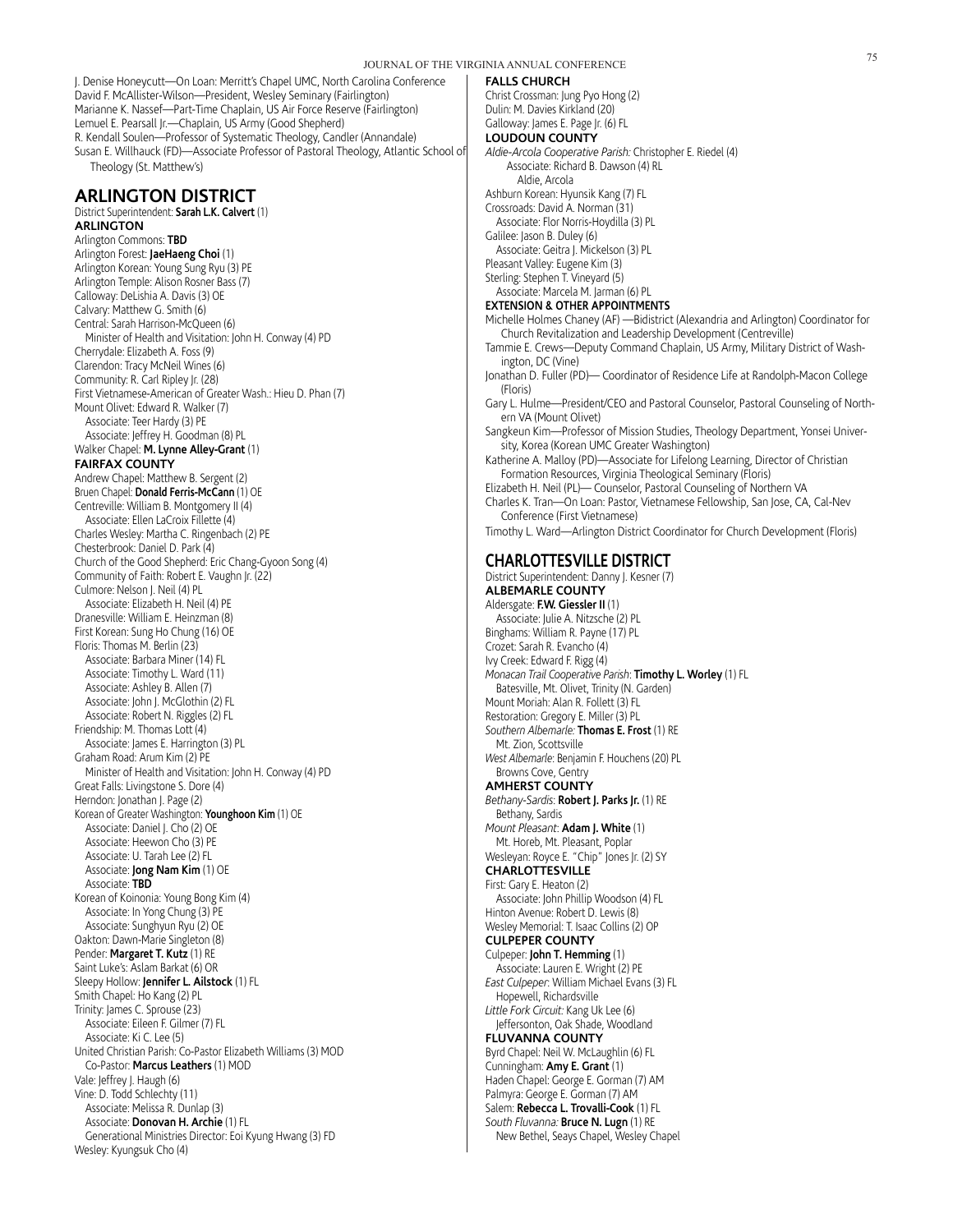J. Denise Honeycutt—On Loan: Merritt's Chapel UMC, North Carolina Conference David F. McAllister-Wilson—President, Wesley Seminary (Fairlington) Marianne K. Nassef—Part-Time Chaplain, US Air Force Reserve (Fairlington) Lemuel E. Pearsall Jr.—Chaplain, US Army (Good Shepherd) R. Kendall Soulen—Professor of Systematic Theology, Candler (Annandale) Susan E. Willhauck (FD)—Associate Professor of Pastoral Theology, Atlantic School of Theology (St. Matthew's)

# **ARLINGTON DISTRICT**

District Superintendent: **Sarah L.K. Calvert** (1) **ARLINGTON** Arlington Commons: **TBD** Arlington Forest: **JaeHaeng Choi** (1) Arlington Korean: Young Sung Ryu (3) PE Arlington Temple: Alison Rosner Bass (7) Calloway: DeLishia A. Davis (3) OE Calvary: Matthew G. Smith (6) Central: Sarah Harrison-McQueen (6) Minister of Health and Visitation: John H. Conway (4) PD Cherrydale: Elizabeth A. Foss (9) Clarendon: Tracy McNeil Wines (6) Community: R. Carl Ripley Jr. (28) First Vietnamese-American of Greater Wash.: Hieu D. Phan (7) Mount Olivet: Edward R. Walker (7) Associate: Teer Hardy (3) PE Associate: Jeffrey H. Goodman (8) PL Walker Chapel: **M. Lynne Alley-Grant** (1) **FAIRFAX COUNTY** Andrew Chapel: Matthew B. Sergent (2) Bruen Chapel: **Donald Ferris-McCann** (1) OE Centreville: William B. Montgomery II (4) Associate: Ellen LaCroix Fillette (4) Charles Wesley: Martha C. Ringenbach (2) PE Chesterbrook: Daniel D. Park (4) Church of the Good Shepherd: Eric Chang-Gyoon Song (4) Community of Faith: Robert E. Vaughn Jr. (22) Culmore: Nelson J. Neil (4) PL Associate: Elizabeth H. Neil (4) PE Dranesville: William E. Heinzman (8) First Korean: Sung Ho Chung (16) OE Floris: Thomas M. Berlin (23) Associate: Barbara Miner (14) FL Associate: Timothy L. Ward (11) Associate: Ashley B. Allen (7) Associate: John J. McGlothin (2) FL Associate: Robert N. Riggles (2) FL Friendship: M. Thomas Lott (4) Associate: James E. Harrington (3) PL Graham Road: Arum Kim (2) PE Minister of Health and Visitation: John H. Conway (4) PD Great Falls: Livingstone S. Dore (4) Herndon: Jonathan J. Page (2) Korean of Greater Washington: **Younghoon Kim** (1) OE Associate: Daniel J. Cho (2) OE Associate: Heewon Cho (3) PE Associate: U. Tarah Lee (2) FL Associate: **Jong Nam Kim** (1) OE Associate: **TBD** Korean of Koinonia: Young Bong Kim (4) Associate: In Yong Chung (3) PE Associate: Sunghyun Ryu (2) OE Oakton: Dawn-Marie Singleton (8) Pender: **Margaret T. Kutz** (1) RE Saint Luke's: Aslam Barkat (6) OR Sleepy Hollow: **Jennifer L. Ailstock** (1) FL Smith Chapel: Ho Kang (2) PL Trinity: James C. Sprouse (23) Associate: Eileen F. Gilmer (7) FL Associate: Ki C. Lee (5) United Christian Parish: Co-Pastor Elizabeth Williams (3) MOD Co-Pastor: **Marcus Leathers** (1) MOD Vale: Jeffrey J. Haugh (6) Vine: D. Todd Schlechty (11) Associate: Melissa R. Dunlap (3) Associate: **Donovan H. Archie** (1) FL Generational Ministries Director: Eoi Kyung Hwang (3) FD Wesley: Kyungsuk Cho (4)

#### **FALLS CHURCH**

Christ Crossman: Jung Pyo Hong (2) Dulin: M. Davies Kirkland (20) Galloway: James E. Page Jr. (6) FL **LOUDOUN COUNTY** *Aldie-Arcola Cooperative Parish:* Christopher E. Riedel (4) Associate: Richard B. Dawson (4) RL Aldie, Arcola Ashburn Korean: Hyunsik Kang (7) FL Crossroads: David A. Norman (31) Associate: Flor Norris-Hoydilla (3) PL Galilee: Jason B. Duley (6) Associate: Geitra J. Mickelson (3) PL Pleasant Valley: Eugene Kim (3) Sterling: Stephen T. Vineyard (5) Associate: Marcela M. Jarman (6) PL **EXTENSION & OTHER APPOINTMENTS** Michelle Holmes Chaney (AF) —Bidistrict (Alexandria and Arlington) Coordinator for Church Revitalization and Leadership Development (Centreville) Tammie E. Crews—Deputy Command Chaplain, US Army, Military District of Washington, DC (Vine) Jonathan D. Fuller (PD)— Coordinator of Residence Life at Randolph-Macon College (Floris) Gary L. Hulme—President/CEO and Pastoral Counselor, Pastoral Counseling of Northern VA (Mount Olivet) Sangkeun Kim—Professor of Mission Studies, Theology Department, Yonsei University, Korea (Korean UMC Greater Washington) Katherine A. Malloy (PD)—Associate for Lifelong Learning, Director of Christian Formation Resources, Virginia Theological Seminary (Floris) Elizabeth H. Neil (PL)— Counselor, Pastoral Counseling of Northern VA Charles K. Tran—On Loan: Pastor, Vietnamese Fellowship, San Jose, CA, Cal-Nev Conference (First Vietnamese) Timothy L. Ward—Arlington District Coordinator for Church Development (Floris) **CHARLOTTESVILLE DISTRICT** District Superintendent: Danny J. Kesner (7) **ALBEMARLE COUNTY** Aldersgate: **F.W. Giessler II** (1) Associate: Julie A. Nitzsche (2) PL Binghams: William R. Payne (17) PL Crozet: Sarah R. Evancho (4) Ivy Creek: Edward F. Rigg (4) *Monacan Trail Cooperative Parish*: **Timothy L. Worley** (1) FL Batesville, Mt. Olivet, Trinity (N. Garden) Mount Moriah: Alan R. Follett (3) FL Restoration: Gregory E. Miller (3) PL *Southern Albemarle:* **Thomas E. Frost** (1) RE Mt. Zion, Scottsville *West Albemarle*: Benjamin F. Houchens (20) PL Browns Cove, Gentry **AMHERST COUNTY**

- *Bethany-Sardis*: **Robert J. Parks Jr.** (1) RE Bethany, Sardis
- *Mount Pleasant*: **Adam J. White** (1) Mt. Horeb, Mt. Pleasant, Poplar
- Wesleyan: Royce E. "Chip" Jones Jr. (2) SY **CHARLOTTESVILLE**
- First: Gary E. Heaton (2)
- Associate: John Phillip Woodson (4) FL Hinton Avenue: Robert D. Lewis (8) Wesley Memorial: T. Isaac Collins (2) OP
- **CULPEPER COUNTY**
- Culpeper: **John T. Hemming** (1)
- Associate: Lauren E. Wright (2) PE *East Culpeper*: William Michael Evans (3) FL Hopewell, Richardsville
- *Little Fork Circuit:* Kang Uk Lee (6) Jeffersonton, Oak Shade, Woodland

**FLUVANNA COUNTY** Byrd Chapel: Neil W. McLaughlin (6) FL Cunningham: **Amy E. Grant** (1) Haden Chapel: George E. Gorman (7) AM Palmyra: George E. Gorman (7) AM Salem: **Rebecca L. Trovalli-Cook** (1) FL *South Fluvanna:* **Bruce N. Lugn** (1) RE New Bethel, Seays Chapel, Wesley Chapel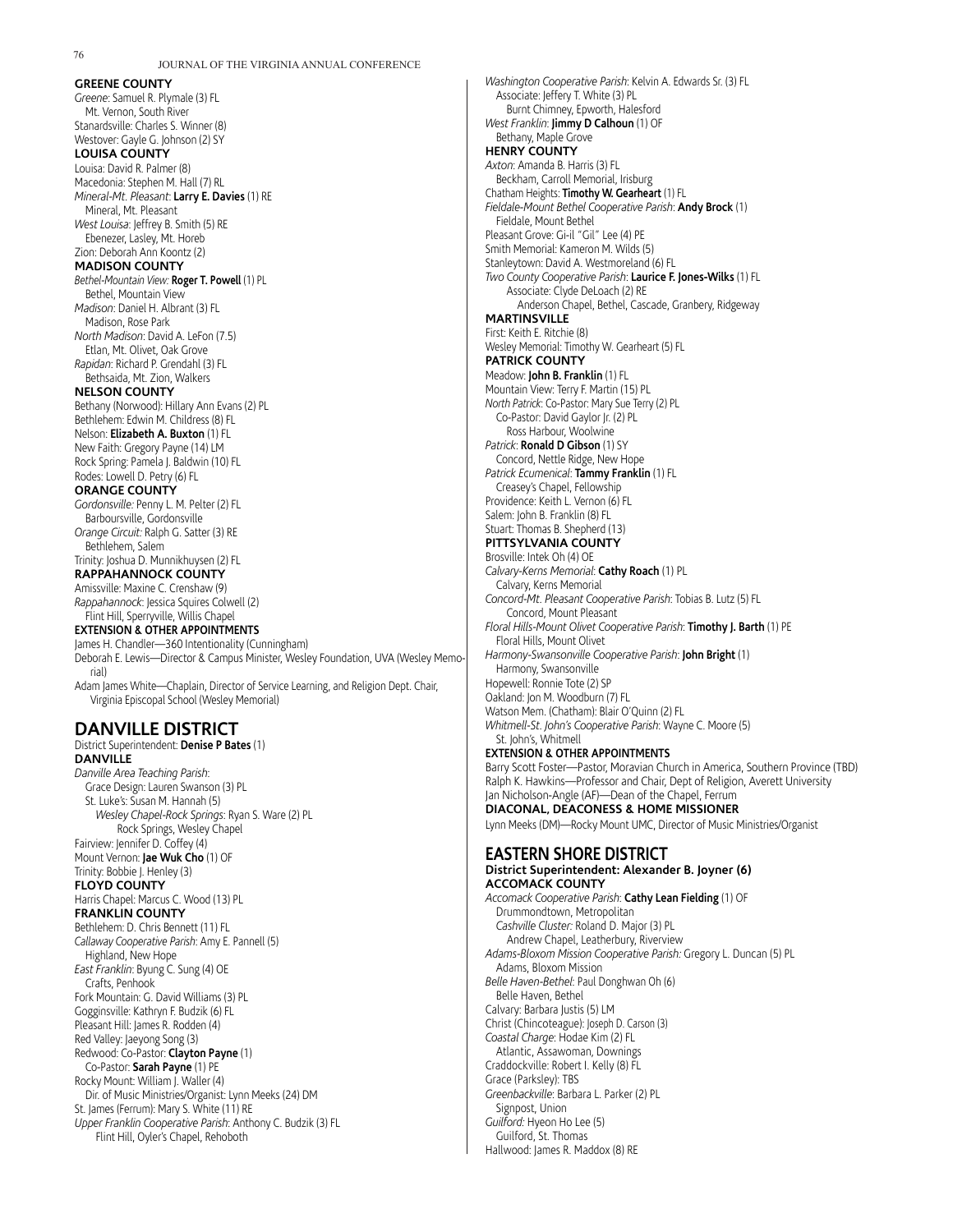#### **GREENE COUNTY** *Greene*: Samuel R. Plymale (3) FL Mt. Vernon, South River Stanardsville: Charles S. Winner (8) Westover: Gayle G. Johnson (2) SY **LOUISA COUNTY** Louisa: David R. Palmer (8) Macedonia: Stephen M. Hall (7) RL *Mineral-Mt. Pleasant*: **Larry E. Davies** (1) RE Mineral, Mt. Pleasant *West Louisa*: Jeffrey B. Smith (5) RE Ebenezer, Lasley, Mt. Horeb Zion: Deborah Ann Koontz (2) **MADISON COUNTY** *Bethel-Mountain View:* **Roger T. Powell** (1) PL Bethel, Mountain View *Madison*: Daniel H. Albrant (3) FL Madison, Rose Park *North Madison*: David A. LeFon (7.5) Etlan, Mt. Olivet, Oak Grove *Rapidan*: Richard P. Grendahl (3) FL Bethsaida, Mt. Zion, Walkers **NELSON COUNTY** Bethany (Norwood): Hillary Ann Evans (2) PL Bethlehem: Edwin M. Childress (8) FL Nelson: **Elizabeth A. Buxton** (1) FL New Faith: Gregory Payne (14) LM Rock Spring: Pamela J. Baldwin (10) FL Rodes: Lowell D. Petry (6) FL **ORANGE COUNTY** *Gordonsville:* Penny L. M. Pelter (2) FL Barboursville, Gordonsville *Orange Circuit:* Ralph G. Satter (3) RE Bethlehem, Salem Trinity: Joshua D. Munnikhuysen (2) FL **RAPPAHANNOCK COUNTY** Amissville: Maxine C. Crenshaw (9) *Rappahannock*: Jessica Squires Colwell (2) Flint Hill, Sperryville, Willis Chapel **EXTENSION & OTHER APPOINTMENTS** James H. Chandler—360 Intentionality (Cunningham) Deborah E. Lewis—Director & Campus Minister, Wesley Foundation, UVA (Wesley Memorial) Adam James White—Chaplain, Director of Service Learning, and Religion Dept. Chair, Virginia Episcopal School (Wesley Memorial)

# **DANVILLE DISTRICT**

District Superintendent: **Denise P Bates** (1) **DANVILLE** *Danville Area Teaching Parish*: Grace Design: Lauren Swanson (3) PL St. Luke's: Susan M. Hannah (5) *Wesley Chapel-Rock Springs*: Ryan S. Ware (2) PL Rock Springs, Wesley Chapel Fairview: Jennifer D. Coffey (4) Mount Vernon: **Jae Wuk Cho** (1) OF Trinity: Bobbie J. Henley (3) **FLOYD COUNTY** Harris Chapel: Marcus C. Wood (13) PL **FRANKLIN COUNTY** Bethlehem: D. Chris Bennett (11) FL *Callaway Cooperative Parish*: Amy E. Pannell (5) Highland, New Hope *East Franklin*: Byung C. Sung (4) OE Crafts, Penhook Fork Mountain: G. David Williams (3) PL Gogginsville: Kathryn F. Budzik (6) FL Pleasant Hill: James R. Rodden (4) Red Valley: Jaeyong Song (3) Redwood: Co-Pastor: **Clayton Payne** (1) Co-Pastor: **Sarah Payne** (1) PE Rocky Mount: William J. Waller (4) Dir. of Music Ministries/Organist: Lynn Meeks (24) DM St. James (Ferrum): Mary S. White (11) RE *Upper Franklin Cooperative Parish*: Anthony C. Budzik (3) FL Flint Hill, Oyler's Chapel, Rehoboth

*Washington Cooperative Parish*: Kelvin A. Edwards Sr. (3) FL Associate: Jeffery T. White (3) PL Burnt Chimney, Epworth, Halesford *West Franklin*: **Jimmy D Calhoun** (1) OF Bethany, Maple Grove **HENRY COUNTY** *Axton*: Amanda B. Harris (3) FL Beckham, Carroll Memorial, Irisburg Chatham Heights: **Timothy W. Gearheart** (1) FL *Fieldale-Mount Bethel Cooperative Parish*: **Andy Brock** (1) Fieldale, Mount Bethel Pleasant Grove: Gi-il "Gil" Lee (4) PE Smith Memorial: Kameron M. Wilds (5) Stanleytown: David A. Westmoreland (6) FL *Two County Cooperative Parish*: **Laurice F. Jones-Wilks** (1) FL Associate: Clyde DeLoach (2) RE Anderson Chapel, Bethel, Cascade, Granbery, Ridgeway **MARTINSVILLE** First: Keith E. Ritchie (8) Wesley Memorial: Timothy W. Gearheart (5) FL **PATRICK COUNTY** Meadow: **John B. Franklin** (1) FL Mountain View: Terry F. Martin (15) PL *North Patrick*: Co-Pastor: Mary Sue Terry (2) PL Co-Pastor: David Gaylor Jr. (2) PL Ross Harbour, Woolwine *Patrick*: **Ronald D Gibson** (1) SY Concord, Nettle Ridge, New Hope *Patrick Ecumenical*: **Tammy Franklin** (1) FL Creasey's Chapel, Fellowship Providence: Keith L. Vernon (6) FL Salem: John B. Franklin (8) FL Stuart: Thomas B. Shepherd (13) **PITTSYLVANIA COUNTY** Brosville: Intek Oh (4) OE *Calvary-Kerns Memorial*: **Cathy Roach** (1) PL Calvary, Kerns Memorial *Concord-Mt. Pleasant Cooperative Parish*: Tobias B. Lutz (5) FL Concord, Mount Pleasant *Floral Hills-Mount Olivet Cooperative Parish*: **Timothy J. Barth** (1) PE Floral Hills, Mount Olivet *Harmony-Swansonville Cooperative Parish*: **John Bright** (1) Harmony, Swansonville Hopewell: Ronnie Tote (2) SP Oakland: Jon M. Woodburn (7) FL Watson Mem. (Chatham): Blair O'Quinn (2) FL *Whitmell-St. John's Cooperative Parish*: Wayne C. Moore (5) St. John's, Whitmell **EXTENSION & OTHER APPOINTMENTS** Barry Scott Foster—Pastor, Moravian Church in America, Southern Province (TBD) Ralph K. Hawkins—Professor and Chair, Dept of Religion, Averett University Jan Nicholson-Angle (AF)—Dean of the Chapel, Ferrum **DIACONAL, DEACONESS & HOME MISSIONER** Lynn Meeks (DM)—Rocky Mount UMC, Director of Music Ministries/Organist **EASTERN SHORE DISTRICT District Superintendent: Alexander B. Joyner (6) ACCOMACK COUNTY** *Accomack Cooperative Parish*: **Cathy Lean Fielding** (1) OF Drummondtown, Metropolitan *Cashville Cluster:* Roland D. Major (3) PL Andrew Chapel, Leatherbury, Riverview *Adams-Bloxom Mission Cooperative Parish:* Gregory L. Duncan (5) PL Adams, Bloxom Mission

*Belle Haven-Bethel*: Paul Donghwan Oh (6)

Belle Haven, Bethel

Calvary: Barbara Justis (5) LM

Christ (Chincoteague): Joseph D. Carson (3)

*Coastal Charge*: Hodae Kim (2) FL

Atlantic, Assawoman, Downings

Craddockville: Robert I. Kelly (8) FL

Grace (Parksley): TBS *Greenbackville*: Barbara L. Parker (2) PL

Signpost, Union

*Guilford:* Hyeon Ho Lee (5)

Guilford, St. Thomas

```
Hallwood: James R. Maddox (8) RE
```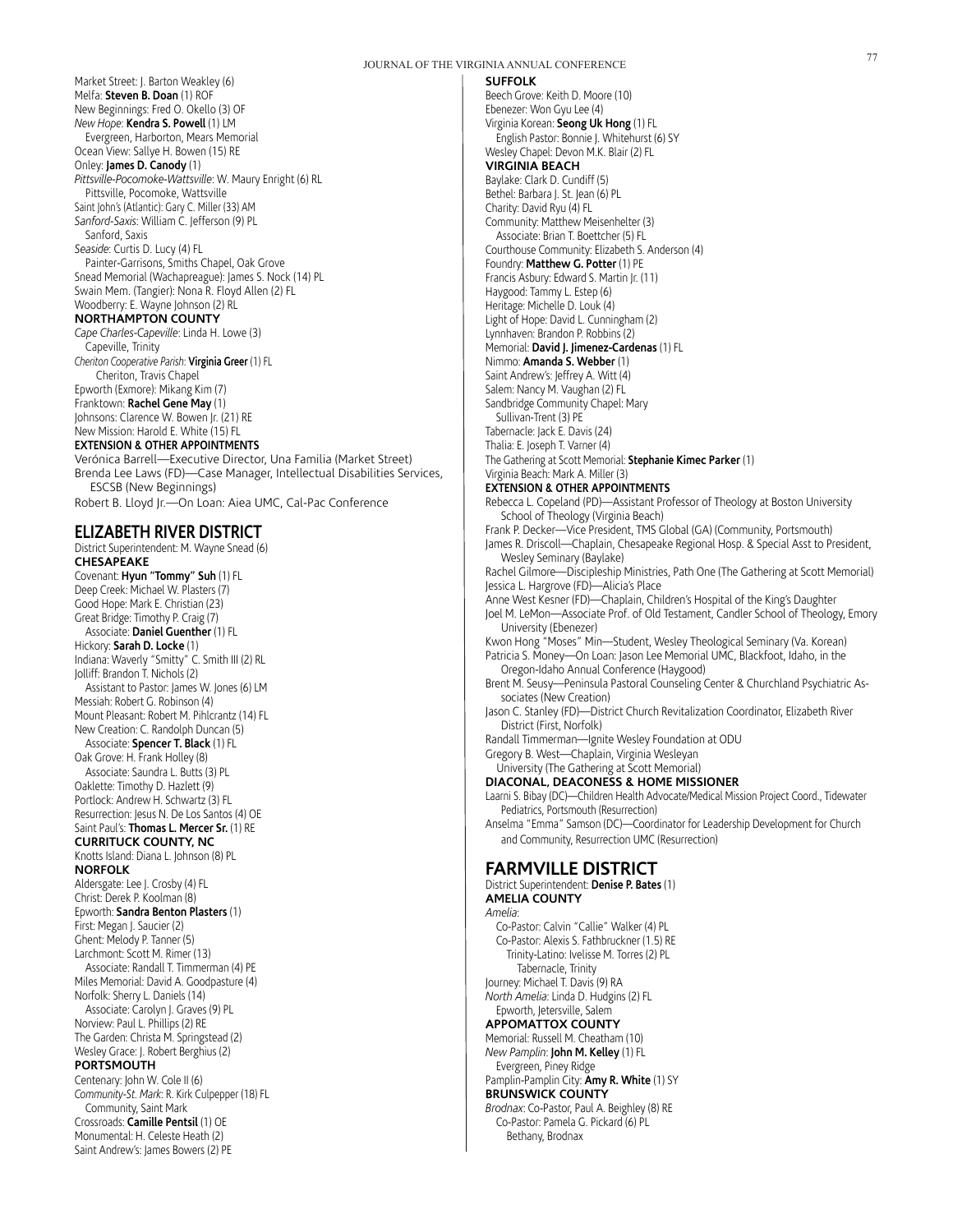Market Street: J. Barton Weakley (6) Melfa: **Steven B. Doan** (1) ROF New Beginnings: Fred O. Okello (3) OF *New Hope*: **Kendra S. Powell** (1) LM Evergreen, Harborton, Mears Memorial Ocean View: Sallye H. Bowen (15) RE Onley: **James D. Canody** (1) *Pittsville-Pocomoke-Wattsville*: W. Maury Enright (6) RL Pittsville, Pocomoke, Wattsville Saint John's (Atlantic): Gary C. Miller (33) AM *Sanford-Saxis*: William C. Jefferson (9) PL Sanford, Saxis *Seaside*: Curtis D. Lucy (4) FL Painter-Garrisons, Smiths Chapel, Oak Grove Snead Memorial (Wachapreague): James S. Nock (14) PL Swain Mem. (Tangier): Nona R. Floyd Allen (2) FL Woodberry: E. Wayne Johnson (2) RL **NORTHAMPTON COUNTY** *Cape Charles-Capeville*: Linda H. Lowe (3) Capeville, Trinity *Cheriton Cooperative Parish*: **Virginia Greer** (1) FL Cheriton, Travis Chapel Epworth (Exmore): Mikang Kim (7)

Franktown: **Rachel Gene May** (1) Johnsons: Clarence W. Bowen Jr. (21) RE New Mission: Harold E. White (15) FL

# **EXTENSION & OTHER APPOINTMENTS**

Verónica Barrell—Executive Director, Una Familia (Market Street) Brenda Lee Laws (FD)—Case Manager, Intellectual Disabilities Services, ESCSB (New Beginnings)

Robert B. Lloyd Jr.—On Loan: Aiea UMC, Cal-Pac Conference

# **ELIZABETH RIVER DISTRICT**

District Superintendent: M. Wayne Snead (6) **CHESAPEAKE** Covenant: **Hyun "Tommy" Suh** (1) FL Deep Creek: Michael W. Plasters (7) Good Hope: Mark E. Christian (23) Great Bridge: Timothy P. Craig (7) Associate: **Daniel Guenther** (1) FL Hickory: **Sarah D. Locke** (1) Indiana: Waverly "Smitty" C. Smith III (2) RL Jolliff: Brandon T. Nichols (2) Assistant to Pastor: James W. Jones (6) LM Messiah: Robert G. Robinson (4) Mount Pleasant: Robert M. Pihlcrantz (14) FL New Creation: C. Randolph Duncan (5) Associate: **Spencer T. Black** (1) FL Oak Grove: H. Frank Holley (8) Associate: Saundra L. Butts (3) PL Oaklette: Timothy D. Hazlett (9) Portlock: Andrew H. Schwartz (3) FL Resurrection: Jesus N. De Los Santos (4) OE Saint Paul's: **Thomas L. Mercer Sr.** (1) RE **CURRITUCK COUNTY, NC** Knotts Island: Diana L. Johnson (8) PL **NORFOLK** Aldersgate: Lee J. Crosby (4) FL Christ: Derek P. Koolman (8) Epworth: **Sandra Benton Plasters** (1) First: Megan J. Saucier (2) Ghent: Melody P. Tanner (5) Larchmont: Scott M. Rimer (13) Associate: Randall T. Timmerman (4) PE Miles Memorial: David A. Goodpasture (4) Norfolk: Sherry L. Daniels (14) Associate: Carolyn J. Graves (9) PL Norview: Paul L. Phillips (2) RE The Garden: Christa M. Springstead (2) Wesley Grace: J. Robert Berghius (2) **PORTSMOUTH** Centenary: John W. Cole II (6) *Community-St. Mark*: R. Kirk Culpepper (18) FL Community, Saint Mark Crossroads: **Camille Pentsil** (1) OE Monumental: H. Celeste Heath (2) Saint Andrew's: James Bowers (2) PE

#### **SUFFOLK**

Beech Grove: Keith D. Moore (10) Ebenezer: Won Gyu Lee (4) Virginia Korean: **Seong Uk Hong** (1) FL English Pastor: Bonnie J. Whitehurst (6) SY Wesley Chapel: Devon M.K. Blair (2) FL **VIRGINIA BEACH** Baylake: Clark D. Cundiff (5) Bethel: Barbara J. St. Jean (6) PL Charity: David Ryu (4) FL Community: Matthew Meisenhelter (3) Associate: Brian T. Boettcher (5) FL Courthouse Community: Elizabeth S. Anderson (4) Foundry: **Matthew G. Potter** (1) PE Francis Asbury: Edward S. Martin Jr. (11) Haygood: Tammy L. Estep (6) Heritage: Michelle D. Louk (4) Light of Hope: David L. Cunningham (2) Lynnhaven: Brandon P. Robbins (2) Memorial: **David J. Jimenez-Cardenas** (1) FL Nimmo: **Amanda S. Webber** (1) Saint Andrew's: Jeffrey A. Witt (4) Salem: Nancy M. Vaughan (2) FL Sandbridge Community Chapel: Mary Sullivan-Trent (3) PE Tabernacle: Jack E. Davis (24) Thalia: E. Joseph T. Varner (4) The Gathering at Scott Memorial: **Stephanie Kimec Parker** (1) Virginia Beach: Mark A. Miller (3) **EXTENSION & OTHER APPOINTMENTS** Rebecca L. Copeland (PD)—Assistant Professor of Theology at Boston University School of Theology (Virginia Beach) Frank P. Decker—Vice President, TMS Global (GA) (Community, Portsmouth) James R. Driscoll—Chaplain, Chesapeake Regional Hosp. & Special Asst to President, Wesley Seminary (Baylake) Rachel Gilmore—Discipleship Ministries, Path One (The Gathering at Scott Memorial) Jessica L. Hargrove (FD)—Alicia's Place Anne West Kesner (FD)—Chaplain, Children's Hospital of the King's Daughter Joel M. LeMon—Associate Prof. of Old Testament, Candler School of Theology, Emory University (Ebenezer) Kwon Hong "Moses" Min—Student, Wesley Theological Seminary (Va. Korean) Patricia S. Money—On Loan: Jason Lee Memorial UMC, Blackfoot, Idaho, in the Oregon-Idaho Annual Conference (Haygood) Brent M. Seusy—Peninsula Pastoral Counseling Center & Churchland Psychiatric Associates (New Creation) Jason C. Stanley (FD)—District Church Revitalization Coordinator, Elizabeth River District (First, Norfolk) Randall Timmerman—Ignite Wesley Foundation at ODU Gregory B. West—Chaplain, Virginia Wesleyan University (The Gathering at Scott Memorial) **DIACONAL, DEACONESS & HOME MISSIONER** Laarni S. Bibay (DC)—Children Health Advocate/Medical Mission Project Coord., Tidewater Pediatrics, Portsmouth (Resurrection) Anselma "Emma" Samson (DC)—Coordinator for Leadership Development for Church and Community, Resurrection UMC (Resurrection) **FARMVILLE DISTRICT** District Superintendent: **Denise P. Bates** (1) **AMELIA COUNTY** *Amelia*: Co-Pastor: Calvin "Callie" Walker (4) PL Co-Pastor: Alexis S. Fathbruckner (1.5) RE Trinity-Latino: Ivelisse M. Torres (2) PL Tabernacle, Trinity Journey: Michael T. Davis (9) RA *North Amelia*: Linda D. Hudgins (2) FL Epworth, Jetersville, Salem **APPOMATTOX COUNTY** Memorial: Russell M. Cheatham (10) *New Pamplin*: **John M. Kelley** (1) FL

Evergreen, Piney Ridge Pamplin-Pamplin City: **Amy R. White** (1) SY

# **BRUNSWICK COUNTY** *Brodnax*: Co-Pastor, Paul A. Beighley (8) RE

Co-Pastor: Pamela G. Pickard (6) PL Bethany, Brodnax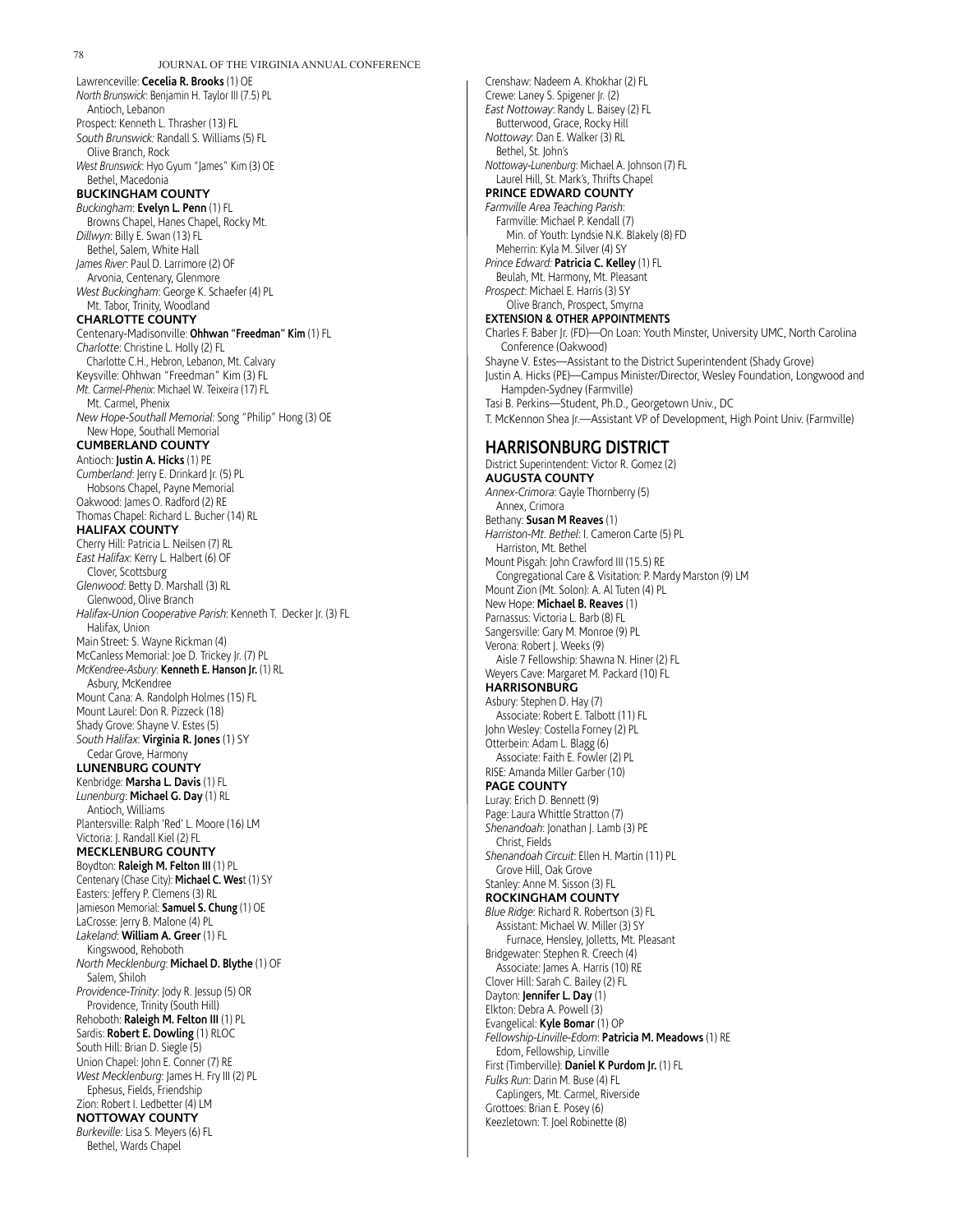JOURNAL OF THE VIRGINIA ANNUAL CONFERENCE Lawrenceville: **Cecelia R. Brooks** (1) OE *North Brunswick*: Benjamin H. Taylor III (7.5) PL Antioch, Lebanon Prospect: Kenneth L. Thrasher (13) FL *South Brunswick:* Randall S. Williams (5) FL Olive Branch, Rock *West Brunswick*: Hyo Gyum "James" Kim (3) OE Bethel, Macedonia **BUCKINGHAM COUNTY** *Buckingham*: **Evelyn L. Penn** (1) FL Browns Chapel, Hanes Chapel, Rocky Mt. *Dillwyn*: Billy E. Swan (13) FL Bethel, Salem, White Hall *James River*: Paul D. Larrimore (2) OF Arvonia, Centenary, Glenmore *West Buckingham*: George K. Schaefer (4) PL Mt. Tabor, Trinity, Woodland **CHARLOTTE COUNTY** Centenary-Madisonville: **Ohhwan "Freedman" Kim** (1) FL *Charlotte*: Christine L. Holly (2) FL Charlotte C.H., Hebron, Lebanon, Mt. Calvary Keysville: Ohhwan "Freedman" Kim (3) FL *Mt. Carmel-Phenix*: Michael W. Teixeira (17) FL Mt. Carmel, Phenix *New Hope-Southall Memorial*: Song "Philip" Hong (3) OE New Hope, Southall Memorial **CUMBERLAND COUNTY** Antioch: **Justin A. Hicks** (1) PE *Cumberland*: Jerry E. Drinkard Jr. (5) PL Hobsons Chapel, Payne Memorial Oakwood: James O. Radford (2) RE Thomas Chapel: Richard L. Bucher (14) RL **HALIFAX COUNTY** Cherry Hill: Patricia L. Neilsen (7) RL *East Halifax*: Kerry L. Halbert (6) OF Clover, Scottsburg *Glenwood*: Betty D. Marshall (3) RL Glenwood, Olive Branch *Halifax-Union Cooperative Parish*: Kenneth T. Decker Jr. (3) FL Halifax, Union Main Street: S. Wayne Rickman (4) McCanless Memorial: Joe D. Trickey Jr. (7) PL *McKendree-Asbury*: **Kenneth E. Hanson Jr.** (1) RL Asbury, McKendree Mount Cana: A. Randolph Holmes (15) FL Mount Laurel: Don R. Pizzeck (18) Shady Grove: Shayne V. Estes (5) *South Halifax*: **Virginia R. Jones** (1) SY Cedar Grove, Harmony **LUNENBURG COUNTY** Kenbridge: **Marsha L. Davis** (1) FL *Lunenburg*: **Michael G. Day** (1) RL Antioch, Williams Plantersville: Ralph 'Red' L. Moore (16) LM Victoria: J. Randall Kiel (2) FL **MECKLENBURG COUNTY** Boydton: **Raleigh M. Felton III** (1) PL Centenary (Chase City): **Michael C. Wes**t (1) SY Easters: Jeffery P. Clemens (3) RL Jamieson Memorial: **Samuel S. Chung** (1) OE LaCrosse: Jerry B. Malone (4) PL *Lakeland*: **William A. Greer** (1) FL Kingswood, Rehoboth *North Mecklenburg*: **Michael D. Blythe** (1) OF Salem, Shiloh *Providence-Trinity*: Jody R. Jessup (5) OR Providence, Trinity (South Hill) Rehoboth: **Raleigh M. Felton III** (1) PL Sardis: **Robert E. Dowling** (1) RLOC South Hill: Brian D. Siegle (5) Union Chapel: John E. Conner (7) RE *West Mecklenburg*: James H. Fry III (2) PL Ephesus, Fields, Friendship Zion: Robert I. Ledbetter (4) LM **NOTTOWAY COUNTY** *Burkeville:* Lisa S. Meyers (6) FL Bethel, Wards Chapel

Crenshaw: Nadeem A. Khokhar (2) FL Crewe: Laney S. Spigener Jr. (2) *East Nottoway*: Randy L. Baisey (2) FL Butterwood, Grace, Rocky Hill *Nottoway*: Dan E. Walker (3) RL Bethel, St. John's *Nottoway-Lunenburg*: Michael A. Johnson (7) FL Laurel Hill, St. Mark's, Thrifts Chapel **PRINCE EDWARD COUNTY** *Farmville Area Teaching Parish*: Farmville: Michael P. Kendall (7) Min. of Youth: Lyndsie N.K. Blakely (8) FD Meherrin: Kyla M. Silver (4) SY *Prince Edward:* **Patricia C. Kelley** (1) FL Beulah, Mt. Harmony, Mt. Pleasant *Prospect*: Michael E. Harris (3) SY Olive Branch, Prospect, Smyrna **EXTENSION & OTHER APPOINTMENTS** Charles F. Baber Jr. (FD)—On Loan: Youth Minster, University UMC, North Carolina Conference (Oakwood) Shayne V. Estes—Assistant to the District Superintendent (Shady Grove) Justin A. Hicks (PE)—Campus Minister/Director, Wesley Foundation, Longwood and Hampden-Sydney (Farmville) Tasi B. Perkins—Student, Ph.D., Georgetown Univ., DC T. McKennon Shea Jr.—Assistant VP of Development, High Point Univ. (Farmville) **HARRISONBURG DISTRICT** District Superintendent: Victor R. Gomez (2) **AUGUSTA COUNTY** *Annex-Crimora*: Gayle Thornberry (5) Annex, Crimora Bethany: **Susan M Reaves** (1) *Harriston-Mt. Bethel*: I. Cameron Carte (5) PL Harriston, Mt. Bethel Mount Pisgah: John Crawford III (15.5) RE Congregational Care & Visitation: P. Mardy Marston (9) LM Mount Zion (Mt. Solon): A. Al Tuten (4) PL New Hope: **Michael B. Reaves** (1) Parnassus: Victoria L. Barb (8) FL Sangersville: Gary M. Monroe (9) PL Verona: Robert J. Weeks (9) Aisle 7 Fellowship: Shawna N. Hiner (2) FL Weyers Cave: Margaret M. Packard (10) FL **HARRISONBURG** Asbury: Stephen D. Hay (7) Associate: Robert E. Talbott (11) FL John Wesley: Costella Forney (2) PL Otterbein: Adam L. Blagg (6) Associate: Faith E. Fowler (2) PL RISE: Amanda Miller Garber (10) **PAGE COUNTY** Luray: Erich D. Bennett (9) Page: Laura Whittle Stratton (7) *Shenandoah*: Jonathan J. Lamb (3) PE Christ, Fields *Shenandoah Circuit*: Ellen H. Martin (11) PL Grove Hill, Oak Grove Stanley: Anne M. Sisson (3) FL **ROCKINGHAM COUNTY** *Blue Ridge*: Richard R. Robertson (3) FL Assistant: Michael W. Miller (3) SY Furnace, Hensley, Jolletts, Mt. Pleasant Bridgewater: Stephen R. Creech (4) Associate: James A. Harris (10) RE Clover Hill: Sarah C. Bailey (2) FL Dayton: **Jennifer L. Day** (1) Elkton: Debra A. Powell (3) Evangelical: **Kyle Bomar** (1) OP *Fellowship-Linville-Edom*: **Patricia M. Meadows** (1) RE Edom, Fellowship, Linville First (Timberville): **Daniel K Purdom Jr.** (1) FL *Fulks Run*: Darin M. Buse (4) FL Caplingers, Mt. Carmel, Riverside Grottoes: Brian E. Posey (6) Keezletown: T. Joel Robinette (8)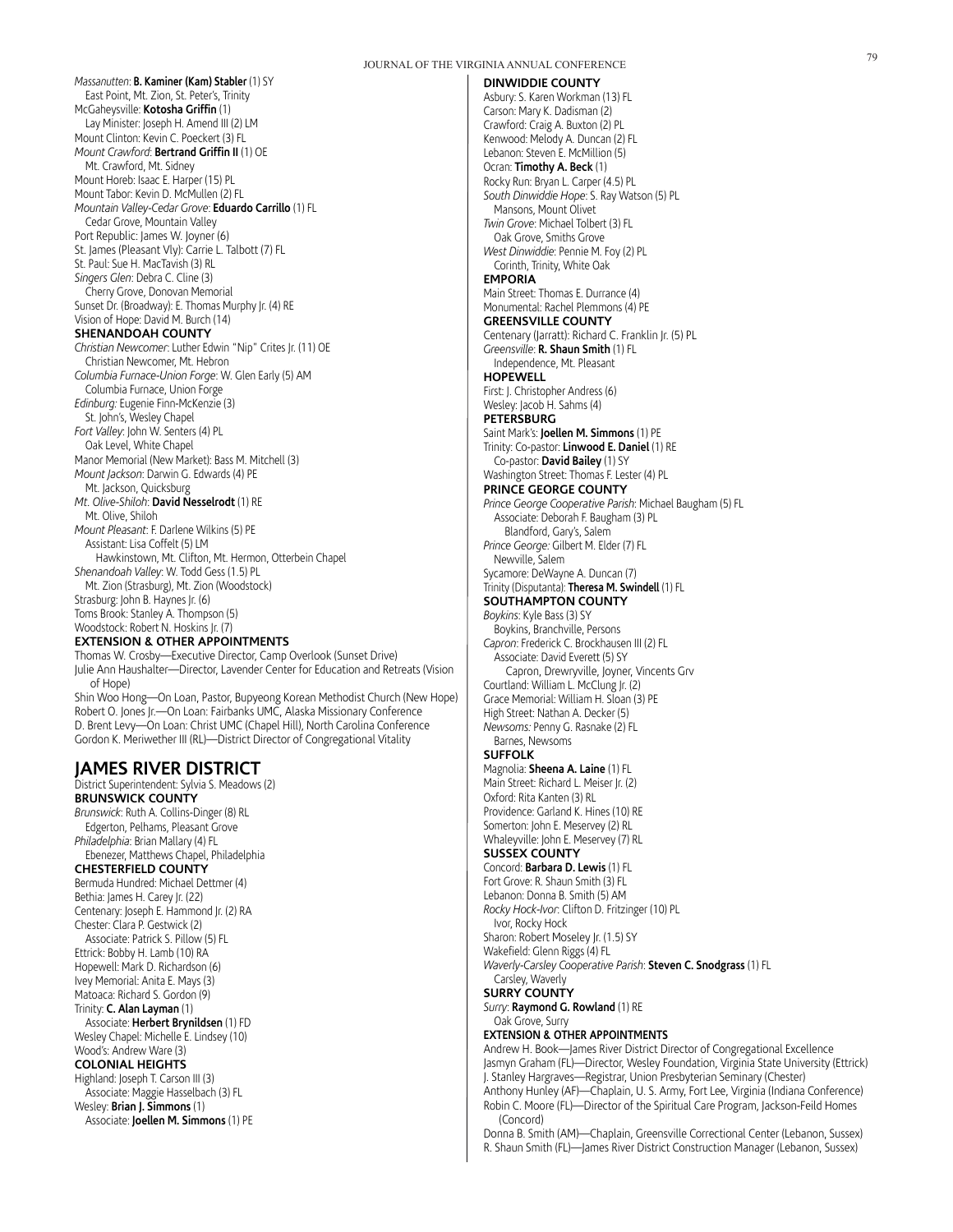*Massanutten*: **B. Kaminer (Kam) Stabler** (1) SY East Point, Mt. Zion, St. Peter's, Trinity McGaheysville: **Kotosha Griffin** (1) Lay Minister: Joseph H. Amend III (2) LM Mount Clinton: Kevin C. Poeckert (3) FL *Mount Crawford*: **Bertrand Griffin II** (1) OE Mt. Crawford, Mt. Sidney Mount Horeb: Isaac E. Harper (15) PL Mount Tabor: Kevin D. McMullen (2) FL *Mountain Valley-Cedar Grove*: **Eduardo Carrillo** (1) FL Cedar Grove, Mountain Valley Port Republic: James W. Joyner (6) St. James (Pleasant Vly): Carrie L. Talbott (7) FL St. Paul: Sue H. MacTavish (3) RL *Singers Glen*: Debra C. Cline (3) Cherry Grove, Donovan Memorial Sunset Dr. (Broadway): E. Thomas Murphy Jr. (4) RE Vision of Hope: David M. Burch (14) **SHENANDOAH COUNTY** *Christian Newcomer*: Luther Edwin "Nip" Crites Jr. (11) OE Christian Newcomer, Mt. Hebron *Columbia Furnace-Union Forge*: W. Glen Early (5) AM Columbia Furnace, Union Forge *Edinburg:* Eugenie Finn-McKenzie (3) St. John's, Wesley Chapel *Fort Valley*: John W. Senters (4) PL Oak Level, White Chapel Manor Memorial (New Market): Bass M. Mitchell (3) *Mount Jackson*: Darwin G. Edwards (4) PE Mt. Jackson, Quicksburg *Mt. Olive-Shiloh*: **David Nesselrodt** (1) RE Mt. Olive, Shiloh *Mount Pleasant*: F. Darlene Wilkins (5) PE Assistant: Lisa Coffelt (5) LM Hawkinstown, Mt. Clifton, Mt. Hermon, Otterbein Chapel *Shenandoah Valley*: W. Todd Gess (1.5) PL Mt. Zion (Strasburg), Mt. Zion (Woodstock) Strasburg: John B. Haynes Jr. (6) Toms Brook: Stanley A. Thompson (5) Woodstock: Robert N. Hoskins Jr. (7) **EXTENSION & OTHER APPOINTMENTS**

Thomas W. Crosby—Executive Director, Camp Overlook (Sunset Drive) Julie Ann Haushalter—Director, Lavender Center for Education and Retreats (Vision of Hope) Shin Woo Hong—On Loan, Pastor, Bupyeong Korean Methodist Church (New Hope)

Robert O. Jones Jr.—On Loan: Fairbanks UMC, Alaska Missionary Conference D. Brent Levy—On Loan: Christ UMC (Chapel Hill), North Carolina Conference Gordon K. Meriwether III (RL)—District Director of Congregational Vitality

# **JAMES RIVER DISTRICT**

District Superintendent: Sylvia S. Meadows (2) **BRUNSWICK COUNTY** *Brunswick*: Ruth A. Collins-Dinger (8) RL Edgerton, Pelhams, Pleasant Grove *Philadelphia*: Brian Mallary (4) FL Ebenezer, Matthews Chapel, Philadelphia **CHESTERFIELD COUNTY** Bermuda Hundred: Michael Dettmer (4) Bethia: James H. Carey Jr. (22) Centenary: Joseph E. Hammond Jr. (2) RA Chester: Clara P. Gestwick (2) Associate: Patrick S. Pillow (5) FL Ettrick: Bobby H. Lamb (10) RA Hopewell: Mark D. Richardson (6) Ivey Memorial: Anita E. Mays (3) Matoaca: Richard S. Gordon (9) Trinity: **C. Alan Layman** (1) Associate: **Herbert Brynildsen** (1) FD Wesley Chapel: Michelle E. Lindsey (10) Wood's: Andrew Ware (3) **COLONIAL HEIGHTS** Highland: Joseph T. Carson III (3) Associate: Maggie Hasselbach (3) FL Wesley: **Brian J. Simmons** (1)

Associate: **Joellen M. Simmons** (1) PE

**DINWIDDIE COUNTY** Asbury: S. Karen Workman (13) FL Carson: Mary K. Dadisman (2) Crawford: Craig A. Buxton (2) PL Kenwood: Melody A. Duncan (2) FL Lebanon: Steven E. McMillion (5) Ocran: **Timothy A. Beck** (1) Rocky Run: Bryan L. Carper (4.5) PL *South Dinwiddie Hope*: S. Ray Watson (5) PL Mansons, Mount Olivet *Twin Grove*: Michael Tolbert (3) FL Oak Grove, Smiths Grove *West Dinwiddie*: Pennie M. Foy (2) PL Corinth, Trinity, White Oak **EMPORIA** Main Street: Thomas E. Durrance (4) Monumental: Rachel Plemmons (4) PE **GREENSVILLE COUNTY** Centenary (Jarratt): Richard C. Franklin Jr. (5) PL *Greensville*: **R. Shaun Smith** (1) FL Independence, Mt. Pleasant **HOPEWELL** First: J. Christopher Andress (6) Wesley: Jacob H. Sahms (4) **PETERSBURG** Saint Mark's: **Joellen M. Simmons** (1) PE Trinity: Co-pastor: **Linwood E. Daniel** (1) RE Co-pastor: **David Bailey** (1) SY Washington Street: Thomas F. Lester (4) PL **PRINCE GEORGE COUNTY** *Prince George Cooperative Parish*: Michael Baugham (5) FL Associate: Deborah F. Baugham (3) PL Blandford, Gary's, Salem *Prince George:* Gilbert M. Elder (7) FL Newville, Salem Sycamore: DeWayne A. Duncan (7) Trinity (Disputanta): **Theresa M. Swindell** (1) FL **SOUTHAMPTON COUNTY** *Boykins*: Kyle Bass (3) SY Boykins, Branchville, Persons *Capron*: Frederick C. Brockhausen III (2) FL Associate: David Everett (5) SY Capron, Drewryville, Joyner, Vincents Grv Courtland: William L. McClung Jr. (2) Grace Memorial: William H. Sloan (3) PE High Street: Nathan A. Decker (5) *Newsoms:* Penny G. Rasnake (2) FL Barnes, Newsoms **SUFFOLK** Magnolia: **Sheena A. Laine** (1) FL Main Street: Richard L. Meiser Jr. (2) Oxford: Rita Kanten (3) RL Providence: Garland K. Hines (10) RE Somerton: John E. Meservey (2) RL Whaleyville: John E. Meservey (7) RL **SUSSEX COUNTY** Concord: **Barbara D. Lewis** (1) FL Fort Grove: R. Shaun Smith (3) FL Lebanon: Donna B. Smith (5) AM *Rocky Hock-Ivor*: Clifton D. Fritzinger (10) PL Ivor, Rocky Hock Sharon: Robert Moseley Jr. (1.5) SY Wakefield: Glenn Riggs (4) FL *Waverly-Carsley Cooperative Parish*: **Steven C. Snodgrass** (1) FL Carsley, Waverly **SURRY COUNTY** *Surry*: **Raymond G. Rowland** (1) RE Oak Grove, Surry **EXTENSION & OTHER APPOINTMENTS** Andrew H. Book—James River District Director of Congregational Excellence Jasmyn Graham (FL)—Director, Wesley Foundation, Virginia State University (Ettrick)

J. Stanley Hargraves—Registrar, Union Presbyterian Seminary (Chester) Anthony Hunley (AF)—Chaplain, U. S. Army, Fort Lee, Virginia (Indiana Conference) Robin C. Moore (FL)—Director of the Spiritual Care Program, Jackson-Feild Homes (Concord)

Donna B. Smith (AM)—Chaplain, Greensville Correctional Center (Lebanon, Sussex) R. Shaun Smith (FL)—James River District Construction Manager (Lebanon, Sussex)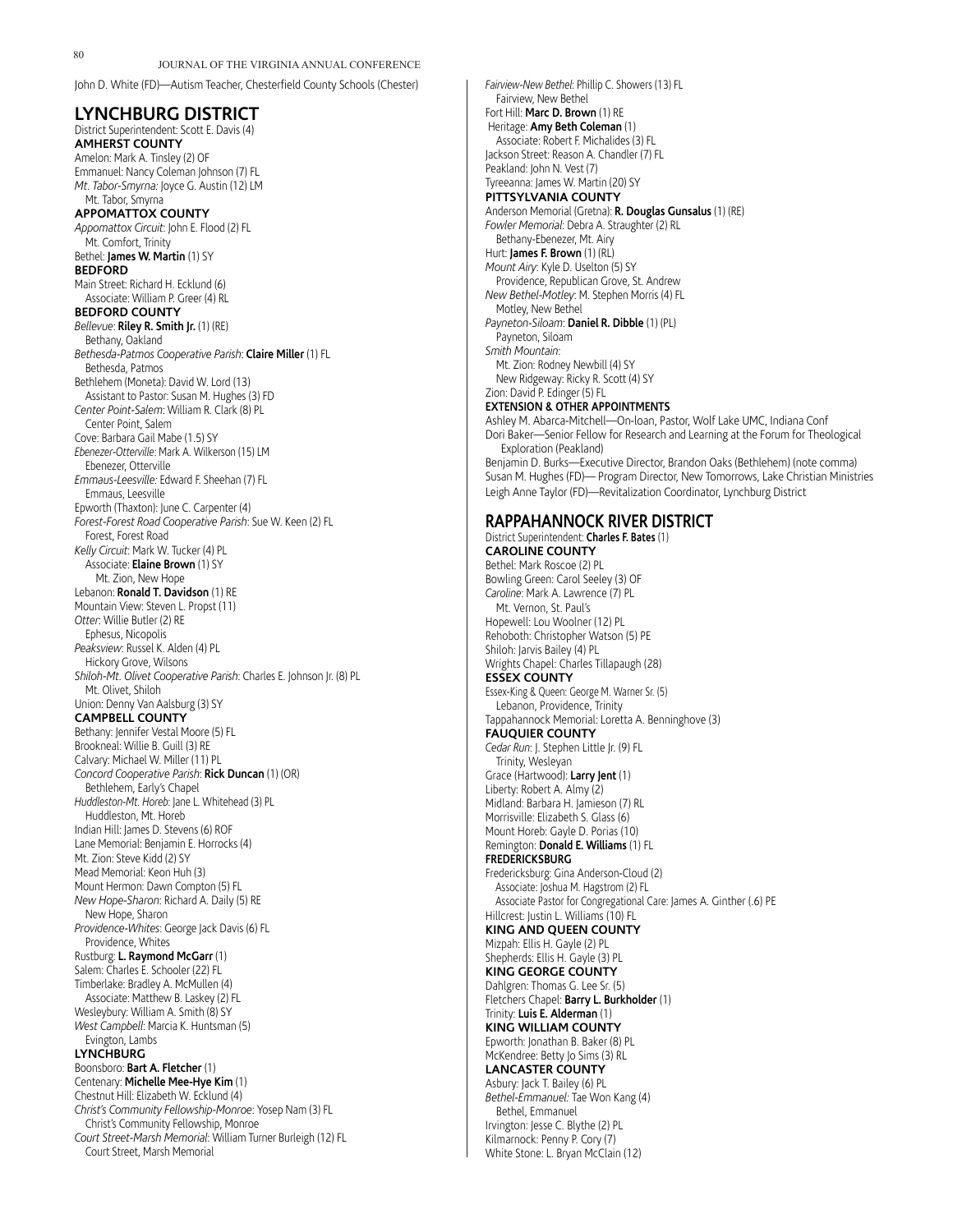John D. White (FD)—Autism Teacher, Chesterfield County Schools (Chester)

| District Superintendent: Scott E. Davis (4)                                                                                           |
|---------------------------------------------------------------------------------------------------------------------------------------|
| <b>AMHERST COUNTY</b>                                                                                                                 |
| Amelon: Mark A. Tinsley (2) OF                                                                                                        |
| Emmanuel: Nancy Coleman Johnson (7) FL                                                                                                |
| Mt. Tabor-Smyrna: Joyce G. Austin (12) LM<br>Mt. Tabor, Smyrna                                                                        |
| <b>APPOMATTOX COUNTY</b>                                                                                                              |
| Appomattox Circuit: John E. Flood (2) FL                                                                                              |
| Mt. Comfort, Trinity                                                                                                                  |
| Bethel: <b>James W. Martin</b> (1) SY                                                                                                 |
| <b>BEDFORD</b>                                                                                                                        |
| Main Street: Richard H. Ecklund (6)                                                                                                   |
| Associate: William P. Greer (4) RL                                                                                                    |
| <b>BEDFORD COUNTY</b>                                                                                                                 |
| <i>Bellevue</i> : <b>Riley R. Smith Jr.</b> (1) (RE)                                                                                  |
| Bethany, Oakland                                                                                                                      |
| <i>Bethesda-Patmos Cooperative Parish</i> : <b>Claire Miller</b> (1) FL<br>Bethesda, Patmos                                           |
| Bethlehem (Moneta): David W. Lord (13)                                                                                                |
| Assistant to Pastor: Susan M. Hughes (3) FD                                                                                           |
| Center Point-Salem: William R. Clark (8) PL                                                                                           |
| Center Point, Salem                                                                                                                   |
| Cove: Barbara Gail Mabe (1.5) SY                                                                                                      |
| <i>Ebenezer-Otterville</i> : Mark A. Wilkerson (15) LM                                                                                |
| Ebenezer, Otterville                                                                                                                  |
| Emmaus-Leesville: Edward F. Sheehan (7) FL                                                                                            |
| Emmaus, Leesville                                                                                                                     |
| Epworth (Thaxton): June C. Carpenter (4)<br>Forest-Forest Road Cooperative Parish: Sue W. Keen (2) FL                                 |
| Forest, Forest Road                                                                                                                   |
| Kelly Circuit: Mark W. Tucker (4) PL                                                                                                  |
| Associate: Elaine Brown (1) SY                                                                                                        |
| Mt. Zion, New Hope                                                                                                                    |
| Lebanon: <b>Ronald T. Davidson</b> (1) RE                                                                                             |
| Mountain View: Steven L. Propst (11)                                                                                                  |
| Otter: Willie Butler (2) RE                                                                                                           |
| Ephesus, Nicopolis                                                                                                                    |
| Peaksview: Russel K. Alden (4) PL                                                                                                     |
| Hickory Grove, Wilsons<br>Shiloh-Mt. Olivet Cooperative Parish: Charles E. Johnson Jr. (8) PL                                         |
| Mt. Olivet, Shiloh                                                                                                                    |
| Union: Denny Van Aalsburg (3) SY                                                                                                      |
|                                                                                                                                       |
| <b>CAMPBELL COUNTY</b>                                                                                                                |
| Bethany: Jennifer Vestal Moore (5) FL                                                                                                 |
| Brookneal: Willie B. Guill (3) RE                                                                                                     |
| Calvary: Michael W. Miller (11) PL                                                                                                    |
| Concord Cooperative Parish: Rick Duncan (1) (OR)                                                                                      |
| Bethlehem, Early's Chapel                                                                                                             |
| Huddleston-Mt. Horeb: Jane L. Whitehead (3) PL                                                                                        |
| Huddleston, Mt. Horeb                                                                                                                 |
| Indian Hill: James D. Stevens (6) ROF                                                                                                 |
| Lane Memorial: Benjamin E. Horrocks (4)<br>Mt. Zion: Steve Kidd (2) SY                                                                |
| Mead Memorial: Keon Huh (3)                                                                                                           |
| Mount Hermon: Dawn Compton (5) FL                                                                                                     |
| <i>New Hope-Sharon</i> : Richard A. Daily (5) RE                                                                                      |
| New Hope, Sharon                                                                                                                      |
| Providence-Whites: George Jack Davis (6) FL                                                                                           |
| Providence, Whites                                                                                                                    |
| Rustburg: L. Raymond McGarr (1)                                                                                                       |
| Salem: Charles E. Schooler (22) FL                                                                                                    |
| Timberlake: Bradley A. McMullen (4)                                                                                                   |
| Associate: Matthew B. Laskey (2) FL<br>Wesleybury: William A. Smith (8) SY                                                            |
| West Campbell: Marcia K. Huntsman (5)                                                                                                 |
| Evington, Lambs                                                                                                                       |
| LYNCHBURG                                                                                                                             |
| Boonsboro: <b>Bart A. Fletcher</b> (1)                                                                                                |
| Centenary: <b>Michelle Mee-Hye Kim</b> (1)                                                                                            |
| Chestnut Hill: Elizabeth W. Ecklund (4)                                                                                               |
| Christ's Community Fellowship-Monroe: Yosep Nam (3) FL                                                                                |
| Christ's Community Fellowship, Monroe<br>Court Street-Marsh Memorial: William Turner Burleigh (12) FL<br>Court Street, Marsh Memorial |

*Fairview-New Bethel*: Phillip C. Showers (13) FL Fairview, New Bethel Fort Hill: **Marc D. Brown** (1) RE Heritage: **Amy Beth Coleman** (1) Associate: Robert F. Michalides (3) FL Jackson Street: Reason A. Chandler (7) FL Peakland: John N. Vest (7) Tyreeanna: James W. Martin (20) SY **PITTSYLVANIA COUNTY** Anderson Memorial (Gretna): **R. Douglas Gunsalus** (1) (RE) *Fowler Memorial*: Debra A. Straughter (2) RL Bethany-Ebenezer, Mt. Airy Hurt: **James F. Brown** (1) (RL) *Mount Airy*: Kyle D. Uselton (5) SY Providence, Republican Grove, St. Andrew *New Bethel-Motley*: M. Stephen Morris (4) FL Motley, New Bethel *Payneton-Siloam*: **Daniel R. Dibble** (1) (PL) Payneton, Siloam *Smith Mountain*: Mt. Zion: Rodney Newbill (4) SY New Ridgeway: Ricky R. Scott (4) SY Zion: David P. Edinger (5) FL **EXTENSION & OTHER APPOINTMENTS** Ashley M. Abarca-Mitchell—On-loan, Pastor, Wolf Lake UMC, Indiana Conf Dori Baker—Senior Fellow for Research and Learning at the Forum for Theological Exploration (Peakland) Benjamin D. Burks—Executive Director, Brandon Oaks (Bethlehem) (note comma) Susan M. Hughes (FD)— Program Director, New Tomorrows, Lake Christian Ministries Leigh Anne Taylor (FD)—Revitalization Coordinator, Lynchburg District **RAPPAHANNOCK RIVER DISTRICT** District Superintendent: **Charles F. Bates** (1) **CAROLINE COUNTY** Bethel: Mark Roscoe (2) PL Bowling Green: Carol Seeley (3) OF *Caroline*: Mark A. Lawrence (7) PL Mt. Vernon, St. Paul's Hopewell: Lou Woolner (12) PL Rehoboth: Christopher Watson (5) PE Shiloh: Jarvis Bailey (4) PL Wrights Chapel: Charles Tillapaugh (28) **ESSEX COUNTY** Essex-King & Queen: George M. Warner Sr. (5) Lebanon, Providence, Trinity Tappahannock Memorial: Loretta A. Benninghove (3) **FAUQUIER COUNTY** *Cedar Run*: J. Stephen Little Jr. (9) FL Trinity, Wesleyan Grace (Hartwood): **Larry Jent** (1) Liberty: Robert A. Almy (2) Midland: Barbara H. Jamieson (7) RL Morrisville: Elizabeth S. Glass (6) Mount Horeb: Gayle D. Porias (10) Remington: **Donald E. Williams** (1) FL **FREDERICKSBURG** Fredericksburg: Gina Anderson-Cloud (2)

Associate: Joshua M. Hagstrom (2) FL Associate Pastor for Congregational Care: James A. Ginther (.6) PE Hillcrest: Justin L. Williams (10) FL **KING AND QUEEN COUNTY** Mizpah: Ellis H. Gayle (2) PL Shepherds: Ellis H. Gayle (3) PL **KING GEORGE COUNTY** Dahlgren: Thomas G. Lee Sr. (5) Fletchers Chapel: **Barry L. Burkholder** (1) Trinity: **Luis E. Alderman** (1) **KING WILLIAM COUNTY** Epworth: Jonathan B. Baker (8) PL

#### McKendree: Betty Jo Sims (3) RL **LANCASTER COUNTY** Asbury: Jack T. Bailey (6) PL *Bethel-Emmanuel:* Tae Won Kang (4) Bethel, Emmanuel Irvington: Jesse C. Blythe (2) PL

Kilmarnock: Penny P. Cory (7) White Stone: L. Bryan McClain (12)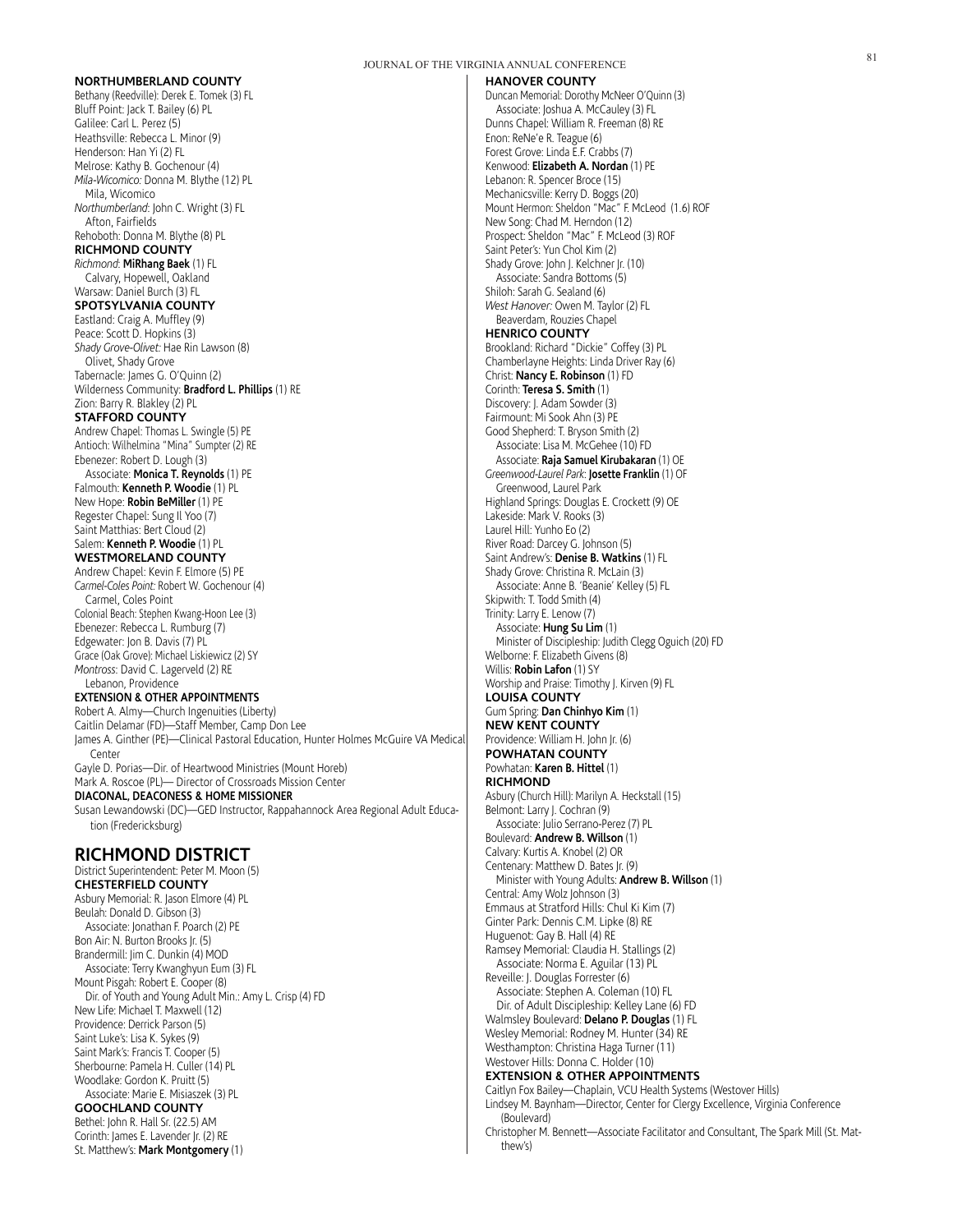#### **NORTHUMBERLAND COUNTY**

Bethany (Reedville): Derek E. Tomek (3) FL Bluff Point: Jack T. Bailey (6) PL Galilee: Carl L. Perez (5) Heathsville: Rebecca L. Minor (9) Henderson: Han Yi (2) FL Melrose: Kathy B. Gochenour (4) *Mila-Wicomico:* Donna M. Blythe (12) PL Mila, Wicomico *Northumberland*: John C. Wright (3) FL Afton, Fairfields Rehoboth: Donna M. Blythe (8) PL **RICHMOND COUNTY** *Richmond*: **MiRhang Baek** (1) FL Calvary, Hopewell, Oakland Warsaw: Daniel Burch (3) FL **SPOTSYLVANIA COUNTY** Eastland: Craig A. Muffley (9) Peace: Scott D. Hopkins (3) *Shady Grove-Olivet:* Hae Rin Lawson (8) Olivet, Shady Grove Tabernacle: James G. O'Quinn (2) Wilderness Community: **Bradford L. Phillips** (1) RE Zion: Barry R. Blakley (2) PL **STAFFORD COUNTY** Andrew Chapel: Thomas L. Swingle (5) PE Antioch: Wilhelmina "Mina" Sumpter (2) RE Ebenezer: Robert D. Lough (3) Associate: **Monica T. Reynolds** (1) PE Falmouth: **Kenneth P. Woodie** (1) PL New Hope: **Robin BeMiller** (1) PE Regester Chapel: Sung Il Yoo (7) Saint Matthias: Bert Cloud (2) Salem: **Kenneth P. Woodie** (1) PL **WESTMORELAND COUNTY** Andrew Chapel: Kevin F. Elmore (5) PE *Carmel-Coles Point:* Robert W. Gochenour (4) Carmel, Coles Point Colonial Beach: Stephen Kwang-Hoon Lee (3) Ebenezer: Rebecca L. Rumburg (7) Edgewater: Jon B. Davis (7) PL Grace (Oak Grove): Michael Liskiewicz (2) SY *Montross*: David C. Lagerveld (2) RE Lebanon, Providence **EXTENSION & OTHER APPOINTMENTS** Robert A. Almy—Church Ingenuities (Liberty) Caitlin Delamar (FD)—Staff Member, Camp Don Lee James A. Ginther (PE)—Clinical Pastoral Education, Hunter Holmes McGuire VA Medical Center Gayle D. Porias—Dir. of Heartwood Ministries (Mount Horeb) Mark A. Roscoe (PL)— Director of Crossroads Mission Center **DIACONAL, DEACONESS & HOME MISSIONER** Susan Lewandowski (DC)—GED Instructor, Rappahannock Area Regional Adult Education (Fredericksburg) **RICHMOND DISTRICT** District Superintendent: Peter M. Moon (5) **CHESTERFIELD COUNTY** Asbury Memorial: R. Jason Elmore (4) PL Beulah: Donald D. Gibson (3) Associate: Jonathan F. Poarch (2) PE Bon Air: N. Burton Brooks Jr. (5)

Brandermill: Jim C. Dunkin (4) MOD Associate: Terry Kwanghyun Eum (3) FL Mount Pisgah: Robert E. Cooper (8) Dir. of Youth and Young Adult Min.: Amy L. Crisp (4) FD New Life: Michael T. Maxwell (12) Providence: Derrick Parson (5) Saint Luke's: Lisa K. Sykes (9) Saint Mark's: Francis T. Cooper (5) Sherbourne: Pamela H. Culler (14) PL Woodlake: Gordon K. Pruitt (5) Associate: Marie E. Misiaszek (3) PL **GOOCHLAND COUNTY** Bethel: John R. Hall Sr. (22.5) AM

Corinth: James E. Lavender Jr. (2) RE St. Matthew's: **Mark Montgomery** (1)

#### **HANOVER COUNTY**

Duncan Memorial: Dorothy McNeer O'Quinn (3) Associate: Joshua A. McCauley (3) FL Dunns Chapel: William R. Freeman (8) RE Enon: ReNe'e R. Teague (6) Forest Grove: Linda E.F. Crabbs (7) Kenwood: **Elizabeth A. Nordan** (1) PE Lebanon: R. Spencer Broce (15) Mechanicsville: Kerry D. Boggs (20) Mount Hermon: Sheldon "Mac" F. McLeod (1.6) ROF New Song: Chad M. Herndon (12) Prospect: Sheldon "Mac" F. McLeod (3) ROF Saint Peter's: Yun Chol Kim (2) Shady Grove: John J. Kelchner Jr. (10) Associate: Sandra Bottoms (5) Shiloh: Sarah G. Sealand (6) *West Hanover:* Owen M. Taylor (2) FL Beaverdam, Rouzies Chapel **HENRICO COUNTY** Brookland: Richard "Dickie" Coffey (3) PL Chamberlayne Heights: Linda Driver Ray (6) Christ: **Nancy E. Robinson** (1) FD Corinth: **Teresa S. Smith** (1) Discovery: J. Adam Sowder (3) Fairmount: Mi Sook Ahn (3) PE Good Shepherd: T. Bryson Smith (2) Associate: Lisa M. McGehee (10) FD Associate: **Raja Samuel Kirubakaran** (1) OE *Greenwood-Laurel Park*: **Josette Franklin** (1) OF Greenwood, Laurel Park Highland Springs: Douglas E. Crockett (9) OE Lakeside: Mark V. Rooks (3) Laurel Hill: Yunho Eo (2) River Road: Darcey G. Johnson (5) Saint Andrew's: **Denise B. Watkins** (1) FL Shady Grove: Christina R. McLain (3) Associate: Anne B. 'Beanie' Kelley (5) FL Skipwith: T. Todd Smith (4) Trinity: Larry E. Lenow (7) Associate: **Hung Su Lim** (1) Minister of Discipleship: Judith Clegg Oguich (20) FD Welborne: F. Elizabeth Givens (8) Willis: **Robin Lafon** (1) SY Worship and Praise: Timothy J. Kirven (9) FL **LOUISA COUNTY** Gum Spring: **Dan Chinhyo Kim** (1) **NEW KENT COUNTY** Providence: William H. John Jr. (6) **POWHATAN COUNTY** Powhatan: **Karen B. Hittel** (1) **RICHMOND** Asbury (Church Hill): Marilyn A. Heckstall (15) Belmont: Larry J. Cochran (9) Associate: Julio Serrano-Perez (7) PL Boulevard: **Andrew B. Willson** (1) Calvary: Kurtis A. Knobel (2) OR Centenary: Matthew D. Bates Jr. (9) Minister with Young Adults: **Andrew B. Willson** (1) Central: Amy Wolz Johnson (3) Emmaus at Stratford Hills: Chul Ki Kim (7) Ginter Park: Dennis C.M. Lipke (8) RE Huguenot: Gay B. Hall (4) RE Ramsey Memorial: Claudia H. Stallings (2) Associate: Norma E. Aguilar (13) PL Reveille: J. Douglas Forrester (6) Associate: Stephen A. Coleman (10) FL Dir. of Adult Discipleship: Kelley Lane (6) FD Walmsley Boulevard: **Delano P. Douglas** (1) FL Wesley Memorial: Rodney M. Hunter (34) RE Westhampton: Christina Haga Turner (11) Westover Hills: Donna C. Holder (10) **EXTENSION & OTHER APPOINTMENTS** Caitlyn Fox Bailey—Chaplain, VCU Health Systems (Westover Hills) Lindsey M. Baynham—Director, Center for Clergy Excellence, Virginia Conference (Boulevard)

Christopher M. Bennett—Associate Facilitator and Consultant, The Spark Mill (St. Matthew's)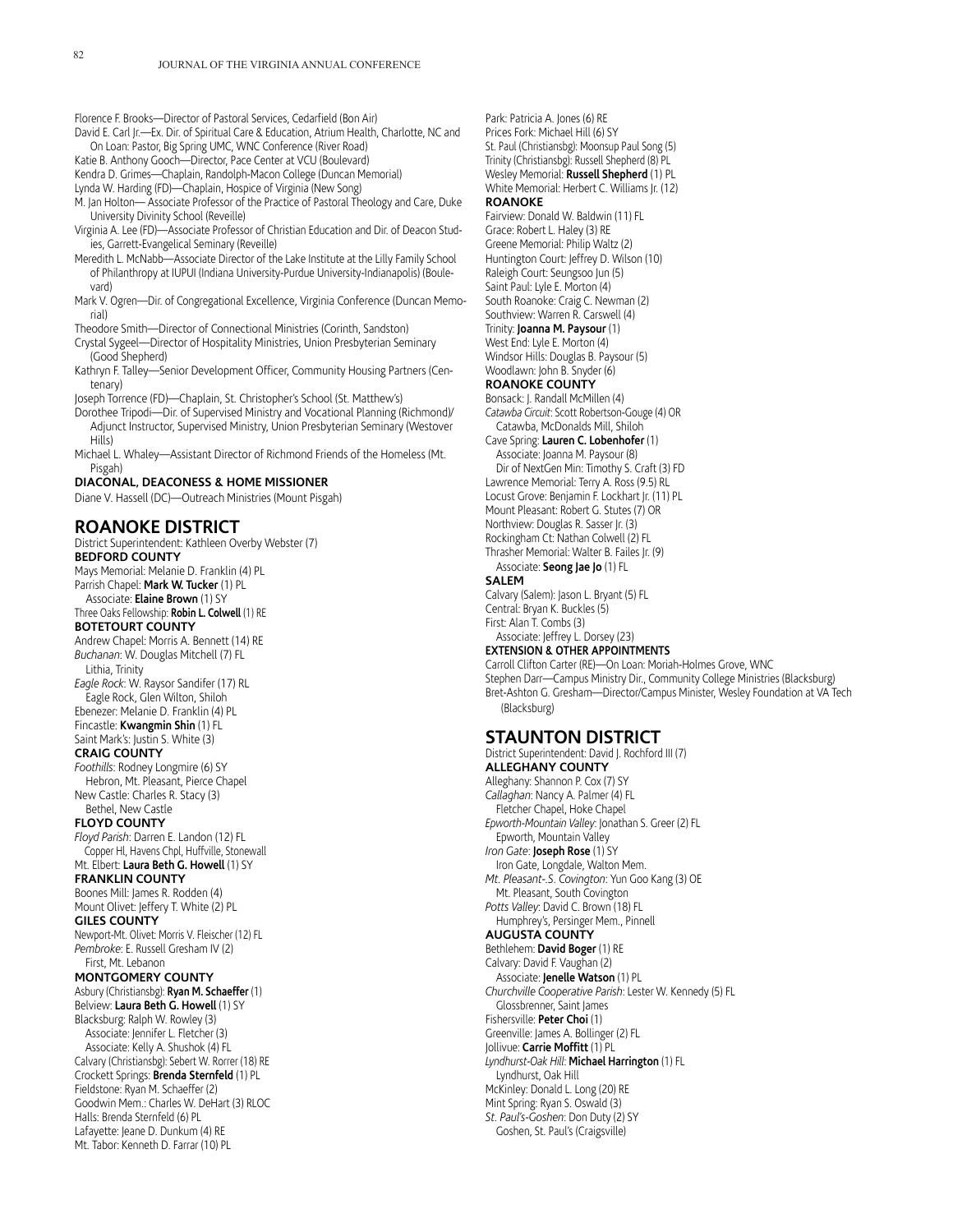Florence F. Brooks—Director of Pastoral Services, Cedarfield (Bon Air)

David E. Carl Jr.-Ex. Dir. of Spiritual Care & Education, Atrium Health, Charlotte, NC and On Loan: Pastor, Big Spring UMC, WNC Conference (River Road)

Katie B. Anthony Gooch—Director, Pace Center at VCU (Boulevard)

Kendra D. Grimes—Chaplain, Randolph-Macon College (Duncan Memorial)

Lynda W. Harding (FD)—Chaplain, Hospice of Virginia (New Song)

M. Jan Holton— Associate Professor of the Practice of Pastoral Theology and Care, Duke University Divinity School (Reveille)

Virginia A. Lee (FD)—Associate Professor of Christian Education and Dir. of Deacon Studies, Garrett-Evangelical Seminary (Reveille)

Meredith L. McNabb—Associate Director of the Lake Institute at the Lilly Family School of Philanthropy at IUPUI (Indiana University-Purdue University-Indianapolis) (Boulevard)

Mark V. Ogren—Dir. of Congregational Excellence, Virginia Conference (Duncan Memorial)

Theodore Smith—Director of Connectional Ministries (Corinth, Sandston)

Crystal Sygeel—Director of Hospitality Ministries, Union Presbyterian Seminary (Good Shepherd)

Kathryn F. Talley—Senior Development Officer, Community Housing Partners (Centenary)

Joseph Torrence (FD)—Chaplain, St. Christopher's School (St. Matthew's)

Dorothee Tripodi—Dir. of Supervised Ministry and Vocational Planning (Richmond)/ Adjunct Instructor, Supervised Ministry, Union Presbyterian Seminary (Westover Hills)

Michael L. Whaley—Assistant Director of Richmond Friends of the Homeless (Mt. Pisgah)

#### **DIACONAL, DEACONESS & HOME MISSIONER**

Diane V. Hassell (DC)—Outreach Ministries (Mount Pisgah)

# **ROANOKE DISTRICT**

District Superintendent: Kathleen Overby Webster (7) **BEDFORD COUNTY** Mays Memorial: Melanie D. Franklin (4) PL Parrish Chapel: **Mark W. Tucker** (1) PL Associate: **Elaine Brown** (1) SY Three Oaks Fellowship: **Robin L. Colwell** (1) RE **BOTETOURT COUNTY** Andrew Chapel: Morris A. Bennett (14) RE *Buchanan*: W. Douglas Mitchell (7) FL Lithia, Trinity *Eagle Rock*: W. Raysor Sandifer (17) RL Eagle Rock, Glen Wilton, Shiloh Ebenezer: Melanie D. Franklin (4) PL Fincastle: **Kwangmin Shin** (1) FL Saint Mark's: Justin S. White (3) **CRAIG COUNTY** *Foothills*: Rodney Longmire (6) SY Hebron, Mt. Pleasant, Pierce Chapel New Castle: Charles R. Stacy (3) Bethel, New Castle **FLOYD COUNTY** *Floyd Parish*: Darren E. Landon (12) FL Copper Hl, Havens Chpl, Huffville, Stonewall Mt. Elbert: **Laura Beth G. Howell** (1) SY **FRANKLIN COUNTY** Boones Mill: James R. Rodden (4) Mount Olivet: Jeffery T. White (2) PL **GILES COUNTY** Newport-Mt. Olivet: Morris V. Fleischer (12) FL *Pembroke*: E. Russell Gresham IV (2) First, Mt. Lebanon **MONTGOMERY COUNTY** Asbury (Christiansbg): **Ryan M. Schaeffer** (1) Belview: **Laura Beth G. Howell** (1) SY Blacksburg: Ralph W. Rowley (3) Associate: Jennifer L. Fletcher (3) Associate: Kelly A. Shushok (4) FL Calvary (Christiansbg): Sebert W. Rorrer (18) RE Crockett Springs: **Brenda Sternfeld** (1) PL Fieldstone: Ryan M. Schaeffer (2) Goodwin Mem.: Charles W. DeHart (3) RLOC Halls: Brenda Sternfeld (6) PL Lafayette: Jeane D. Dunkum (4) RE Mt. Tabor: Kenneth D. Farrar (10) PL

Park: Patricia A. Jones (6) RE Prices Fork: Michael Hill (6) SY St. Paul (Christiansbg): Moonsup Paul Song (5) Trinity (Christiansbg): Russell Shepherd (8) PL Wesley Memorial: **Russell Shepherd** (1) PL White Memorial: Herbert C. Williams Jr. (12) **ROANOKE** Fairview: Donald W. Baldwin (11) FL

Grace: Robert L. Haley (3) RE Greene Memorial: Philip Waltz (2) Huntington Court: Jeffrey D. Wilson (10) Raleigh Court: Seungsoo Jun (5) Saint Paul: Lyle E. Morton (4) South Roanoke: Craig C. Newman (2) Southview: Warren R. Carswell (4) Trinity: **Joanna M. Paysour** (1) West End: Lyle E. Morton (4) Windsor Hills: Douglas B. Paysour (5) Woodlawn: John B. Snyder (6)

### **ROANOKE COUNTY**

Bonsack: J. Randall McMillen (4) *Catawba Circuit*: Scott Robertson-Gouge (4) OR Catawba, McDonalds Mill, Shiloh

Cave Spring: **Lauren C. Lobenhofer** (1) Associate: Joanna M. Paysour (8)

Dir of NextGen Min: Timothy S. Craft (3) FD Lawrence Memorial: Terry A. Ross (9.5) RL Locust Grove: Benjamin F. Lockhart Jr. (11) PL Mount Pleasant: Robert G. Stutes (7) OR Northview: Douglas R. Sasser Jr. (3) Rockingham Ct: Nathan Colwell (2) FL

Thrasher Memorial: Walter B. Failes Jr. (9) Associate: **Seong Jae Jo** (1) FL

#### **SALEM**

Calvary (Salem): Jason L. Bryant (5) FL Central: Bryan K. Buckles (5) First: Alan T. Combs (3) Associate: Jeffrey L. Dorsey (23)

## **EXTENSION & OTHER APPOINTMENTS**

Carroll Clifton Carter (RE)—On Loan: Moriah-Holmes Grove, WNC Stephen Darr—Campus Ministry Dir., Community College Ministries (Blacksburg) Bret-Ashton G. Gresham—Director/Campus Minister, Wesley Foundation at VA Tech (Blacksburg)

# **STAUNTON DISTRICT**

District Superintendent: David J. Rochford III (7) **ALLEGHANY COUNTY** Alleghany: Shannon P. Cox (7) SY *Callaghan*: Nancy A. Palmer (4) FL Fletcher Chapel, Hoke Chapel *Epworth-Mountain Valley*: Jonathan S. Greer (2) FL Epworth, Mountain Valley *Iron Gate*: **Joseph Rose** (1) SY Iron Gate, Longdale, Walton Mem. *Mt. Pleasant-.S. Covington*: Yun Goo Kang (3) OE Mt. Pleasant, South Covington *Potts Valley*: David C. Brown (18) FL Humphrey's, Persinger Mem., Pinnell **AUGUSTA COUNTY** Bethlehem: **David Boger** (1) RE Calvary: David F. Vaughan (2) Associate: **Jenelle Watson** (1) PL *Churchville Cooperative Parish*: Lester W. Kennedy (5) FL Glossbrenner, Saint James Fishersville: **Peter Choi** (1) Greenville: James A. Bollinger (2) FL Jollivue: **Carrie Moffitt** (1) PL *Lyndhurst-Oak Hill*: **Michael Harrington** (1) FL Lyndhurst, Oak Hill McKinley: Donald L. Long (20) RE Mint Spring: Ryan S. Oswald (3) *St. Paul's-Goshen*: Don Duty (2) SY Goshen, St. Paul's (Craigsville)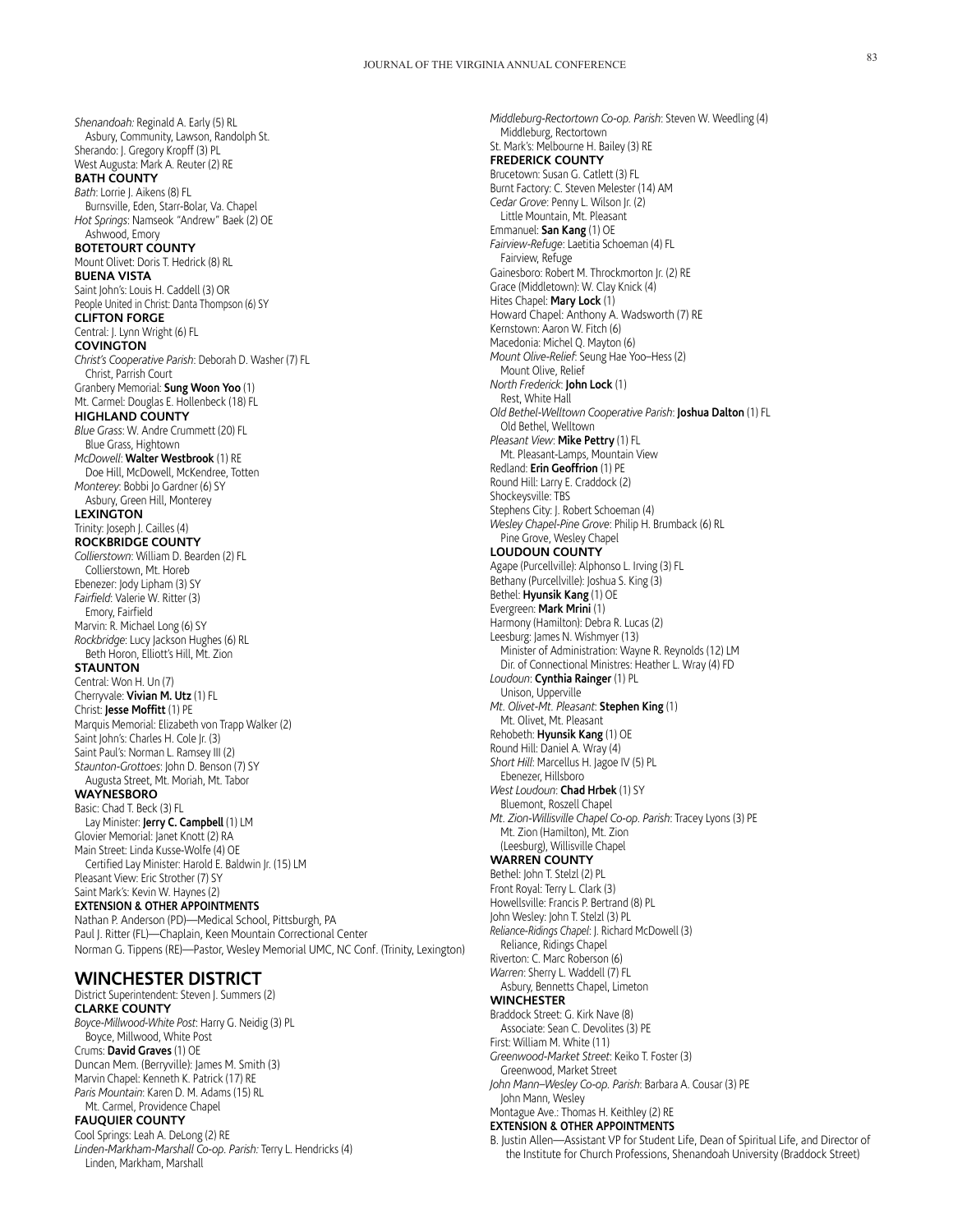*Shenandoah:* Reginald A. Early (5) RL Asbury, Community, Lawson, Randolph St. Sherando: J. Gregory Kropff (3) PL West Augusta: Mark A. Reuter (2) RE **BATH COUNTY** *Bath*: Lorrie J. Aikens (8) FL Burnsville, Eden, Starr-Bolar, Va. Chapel *Hot Springs*: Namseok "Andrew" Baek (2) OE Ashwood, Emory **BOTETOURT COUNTY** Mount Olivet: Doris T. Hedrick (8) RL **BUENA VISTA** Saint John's: Louis H. Caddell (3) OR People United in Christ: Danta Thompson (6) SY **CLIFTON FORGE** Central: J. Lynn Wright (6) FL **COVINGTON** *Christ's Cooperative Parish*: Deborah D. Washer (7) FL Christ, Parrish Court Granbery Memorial: **Sung Woon Yoo** (1) Mt. Carmel: Douglas E. Hollenbeck (18) FL **HIGHLAND COUNTY** *Blue Grass*: W. Andre Crummett (20) FL Blue Grass, Hightown *McDowell*: **Walter Westbrook** (1) RE Doe Hill, McDowell, McKendree, Totten *Monterey*: Bobbi Jo Gardner (6) SY Asbury, Green Hill, Monterey **LEXINGTON** Trinity: Joseph J. Cailles (4) **ROCKBRIDGE COUNTY** *Collierstown*: William D. Bearden (2) FL Collierstown, Mt. Horeb Ebenezer: Jody Lipham (3) SY *Fairfield*: Valerie W. Ritter (3) Emory, Fairfield Marvin: R. Michael Long (6) SY *Rockbridge*: Lucy Jackson Hughes (6) RL Beth Horon, Elliott's Hill, Mt. Zion **STAUNTON** Central: Won H. Un (7) Cherryvale: **Vivian M. Utz** (1) FL Christ: **Jesse Moffitt** (1) PE Marquis Memorial: Elizabeth von Trapp Walker (2) Saint John's: Charles H. Cole Jr. (3) Saint Paul's: Norman L. Ramsey III (2) *Staunton-Grottoes*: John D. Benson (7) SY Augusta Street, Mt. Moriah, Mt. Tabor **WAYNESBORO** Basic: Chad T. Beck (3) FL Lay Minister: **Jerry C. Campbell** (1) LM Glovier Memorial: Janet Knott (2) RA Main Street: Linda Kusse-Wolfe (4) OE Certified Lay Minister: Harold E. Baldwin Jr. (15) LM Pleasant View: Eric Strother (7) SY Saint Mark's: Kevin W. Haynes (2) **EXTENSION & OTHER APPOINTMENTS**

Nathan P. Anderson (PD)—Medical School, Pittsburgh, PA Paul J. Ritter (FL)—Chaplain, Keen Mountain Correctional Center Norman G. Tippens (RE)—Pastor, Wesley Memorial UMC, NC Conf. (Trinity, Lexington)

# **WINCHESTER DISTRICT**

District Superintendent: Steven J. Summers (2) **CLARKE COUNTY** *Boyce-Millwood-White Post*: Harry G. Neidig (3) PL Boyce, Millwood, White Post Crums: **David Graves** (1) OE Duncan Mem. (Berryville): James M. Smith (3) Marvin Chapel: Kenneth K. Patrick (17) RE *Paris Mountain*: Karen D. M. Adams (15) RL Mt. Carmel, Providence Chapel **FAUQUIER COUNTY** Cool Springs: Leah A. DeLong (2) RE

*Linden-Markham-Marshall Co-op. Parish:* Terry L. Hendricks (4) Linden, Markham, Marshall

Middleburg, Rectortown St. Mark's: Melbourne H. Bailey (3) RE **FREDERICK COUNTY** Brucetown: Susan G. Catlett (3) FL Burnt Factory: C. Steven Melester (14) AM *Cedar Grove*: Penny L. Wilson Jr. (2) Little Mountain, Mt. Pleasant Emmanuel: **San Kang** (1) OE *Fairview-Refuge*: Laetitia Schoeman (4) FL Fairview, Refuge Gainesboro: Robert M. Throckmorton Jr. (2) RE Grace (Middletown): W. Clay Knick (4) Hites Chapel: **Mary Lock** (1) Howard Chapel: Anthony A. Wadsworth (7) RE Kernstown: Aaron W. Fitch (6) Macedonia: Michel Q. Mayton (6) *Mount Olive-Relief*: Seung Hae Yoo–Hess (2) Mount Olive, Relief *North Frederick*: **John Lock** (1) Rest, White Hall *Old Bethel-Welltown Cooperative Parish*: **Joshua Dalton** (1) FL Old Bethel, Welltown *Pleasant View*: **Mike Pettry** (1) FL Mt. Pleasant-Lamps, Mountain View Redland: **Erin Geoffrion** (1) PE Round Hill: Larry E. Craddock (2) Shockeysville: TBS Stephens City: J. Robert Schoeman (4) *Wesley Chapel-Pine Grove*: Philip H. Brumback (6) RL Pine Grove, Wesley Chapel **LOUDOUN COUNTY** Agape (Purcellville): Alphonso L. Irving (3) FL Bethany (Purcellville): Joshua S. King (3) Bethel: **Hyunsik Kang** (1) OE Evergreen: **Mark Mrini** (1) Harmony (Hamilton): Debra R. Lucas (2) Leesburg: James N. Wishmyer (13) Minister of Administration: Wayne R. Reynolds (12) LM Dir. of Connectional Ministres: Heather L. Wray (4) FD *Loudoun*: **Cynthia Rainger** (1) PL Unison, Upperville *Mt. Olivet-Mt. Pleasant*: **Stephen King** (1) Mt. Olivet, Mt. Pleasant Rehobeth: **Hyunsik Kang** (1) OE Round Hill: Daniel A. Wray (4) *Short Hill*: Marcellus H. Jagoe IV (5) PL Ebenezer, Hillsboro *West Loudoun*: **Chad Hrbek** (1) SY Bluemont, Roszell Chapel *Mt. Zion-Willisville Chapel Co-op. Parish*: Tracey Lyons (3) PE Mt. Zion (Hamilton), Mt. Zion (Leesburg), Willisville Chapel **WARREN COUNTY** Bethel: John T. Stelzl (2) PL Front Royal: Terry L. Clark (3) Howellsville: Francis P. Bertrand (8) PL John Wesley: John T. Stelzl (3) PL *Reliance-Ridings Chapel*: J. Richard McDowell (3) Reliance, Ridings Chapel Riverton: C. Marc Roberson (6) *Warren*: Sherry L. Waddell (7) FL Asbury, Bennetts Chapel, Limeton **WINCHESTER** Braddock Street: G. Kirk Nave (8) Associate: Sean C. Devolites (3) PE First: William M. White (11) *Greenwood-Market Street*: Keiko T. Foster (3) Greenwood, Market Street *John Mann–Wesley Co-op. Parish*: Barbara A. Cousar (3) PE John Mann, Wesley Montague Ave.: Thomas H. Keithley (2) RE **EXTENSION & OTHER APPOINTMENTS** B. Justin Allen—Assistant VP for Student Life, Dean of Spiritual Life, and Director of

*Middleburg-Rectortown Co-op. Parish*: Steven W. Weedling (4)

the Institute for Church Professions, Shenandoah University (Braddock Street)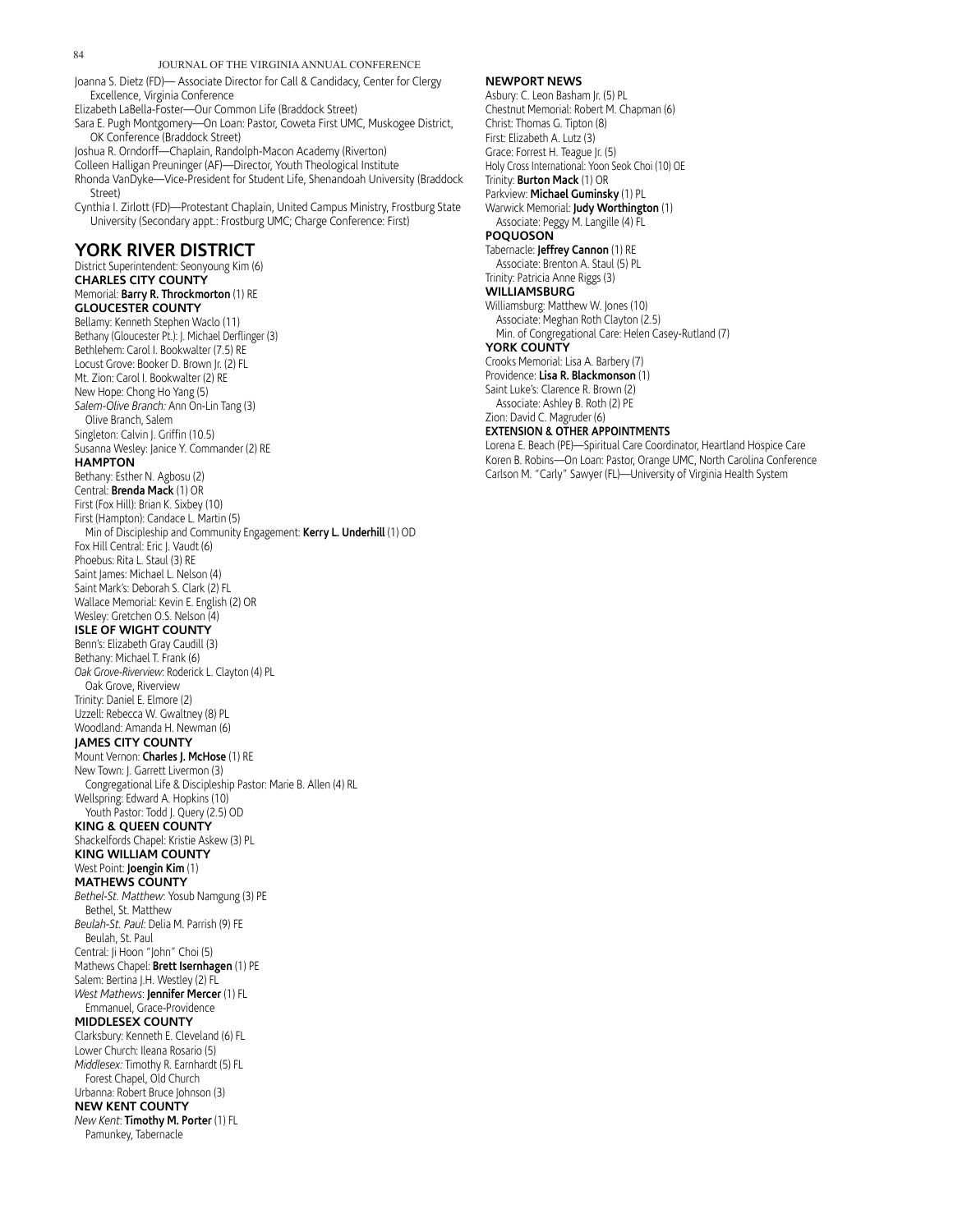JOURNAL OF THE VIRGINIA ANNUAL CONFERENCE Joanna S. Dietz (FD)— Associate Director for Call & Candidacy, Center for Clergy Excellence, Virginia Conference Elizabeth LaBella-Foster—Our Common Life (Braddock Street) Sara E. Pugh Montgomery—On Loan: Pastor, Coweta First UMC, Muskogee District, OK Conference (Braddock Street) Joshua R. Orndorff—Chaplain, Randolph-Macon Academy (Riverton) Colleen Halligan Preuninger (AF)—Director, Youth Theological Institute Rhonda VanDyke—Vice-President for Student Life, Shenandoah University (Braddock Street) Cynthia I. Zirlott (FD)—Protestant Chaplain, United Campus Ministry, Frostburg State University (Secondary appt.: Frostburg UMC; Charge Conference: First) **YORK RIVER DISTRICT** District Superintendent: Seonyoung Kim (6) **CHARLES CITY COUNTY** Memorial: **Barry R. Throckmorton** (1) RE **GLOUCESTER COUNTY** Bellamy: Kenneth Stephen Waclo (11) Bethany (Gloucester Pt.): J. Michael Derflinger (3) Bethlehem: Carol I. Bookwalter (7.5) RE Locust Grove: Booker D. Brown Jr. (2) FL Mt. Zion: Carol I. Bookwalter (2) RE New Hope: Chong Ho Yang (5) *Salem-Olive Branch:* Ann On-Lin Tang (3) Olive Branch, Salem Singleton: Calvin J. Griffin (10.5) Susanna Wesley: Janice Y. Commander (2) RE **HAMPTON** Bethany: Esther N. Agbosu (2) Central: **Brenda Mack** (1) OR First (Fox Hill): Brian K. Sixbey (10) First (Hampton): Candace L. Martin (5) Min of Discipleship and Community Engagement: **Kerry L. Underhill** (1) OD Fox Hill Central: Eric J. Vaudt (6) Phoebus: Rita L. Staul (3) RE Saint James: Michael L. Nelson (4) Saint Mark's: Deborah S. Clark (2) FL Wallace Memorial: Kevin E. English (2) OR Wesley: Gretchen O.S. Nelson (4) **ISLE OF WIGHT COUNTY** Benn's: Elizabeth Gray Caudill (3) Bethany: Michael T. Frank (6) *Oak Grove-Riverview*: Roderick L. Clayton (4) PL Oak Grove, Riverview Trinity: Daniel E. Elmore (2) Uzzell: Rebecca W. Gwaltney (8) PL Woodland: Amanda H. Newman (6) **JAMES CITY COUNTY** Mount Vernon: **Charles J. McHose** (1) RE New Town: J. Garrett Livermon (3) Congregational Life & Discipleship Pastor: Marie B. Allen (4) RL Wellspring: Edward A. Hopkins (10) Youth Pastor: Todd J. Query (2.5) OD **KING & QUEEN COUNTY** Shackelfords Chapel: Kristie Askew (3) PL **KING WILLIAM COUNTY** West Point: **Joengin Kim** (1) **MATHEWS COUNTY** *Bethel-St. Matthew*: Yosub Namgung (3) PE Bethel, St. Matthew *Beulah-St. Paul*: Delia M. Parrish (9) FE Beulah, St. Paul Central: Ji Hoon "John" Choi (5) Mathews Chapel: **Brett Isernhagen** (1) PE Salem: Bertina J.H. Westley (2) FL *West Mathews*: **Jennifer Mercer** (1) FL Emmanuel, Grace-Providence **MIDDLESEX COUNTY** Clarksbury: Kenneth E. Cleveland (6) FL Lower Church: Ileana Rosario (5) *Middlesex:* Timothy R. Earnhardt (5) FL Forest Chapel, Old Church Urbanna: Robert Bruce Johnson (3) **NEW KENT COUNTY** *New Kent*: **Timothy M. Porter** (1) FL Pamunkey, Tabernacle

#### **NEWPORT NEWS**

Asbury: C. Leon Basham Jr. (5) PL Chestnut Memorial: Robert M. Chapman (6) Christ: Thomas G. Tipton (8) First: Elizabeth A. Lutz (3) Grace: Forrest H. Teague Jr. (5) Holy Cross International: Yoon Seok Choi (10) OE Trinity: **Burton Mack** (1) OR Parkview: **Michael Guminsky** (1) PL Warwick Memorial: **Judy Worthington** (1) Associate: Peggy M. Langille (4) FL **POQUOSON** Tabernacle: **Jeffrey Cannon** (1) RE Associate: Brenton A. Staul (5) PL Trinity: Patricia Anne Riggs (3) **WILLIAMSBURG** Williamsburg: Matthew W. Jones (10) Associate: Meghan Roth Clayton (2.5) Min. of Congregational Care: Helen Casey-Rutland (7) **YORK COUNTY** Crooks Memorial: Lisa A. Barbery (7) Providence: **Lisa R. Blackmonson** (1) Saint Luke's: Clarence R. Brown (2) Associate: Ashley B. Roth (2) PE Zion: David C. Magruder (6) **EXTENSION & OTHER APPOINTMENTS**

Lorena E. Beach (PE)—Spiritual Care Coordinator, Heartland Hospice Care Koren B. Robins—On Loan: Pastor, Orange UMC, North Carolina Conference Carlson M. "Carly" Sawyer (FL)—University of Virginia Health System